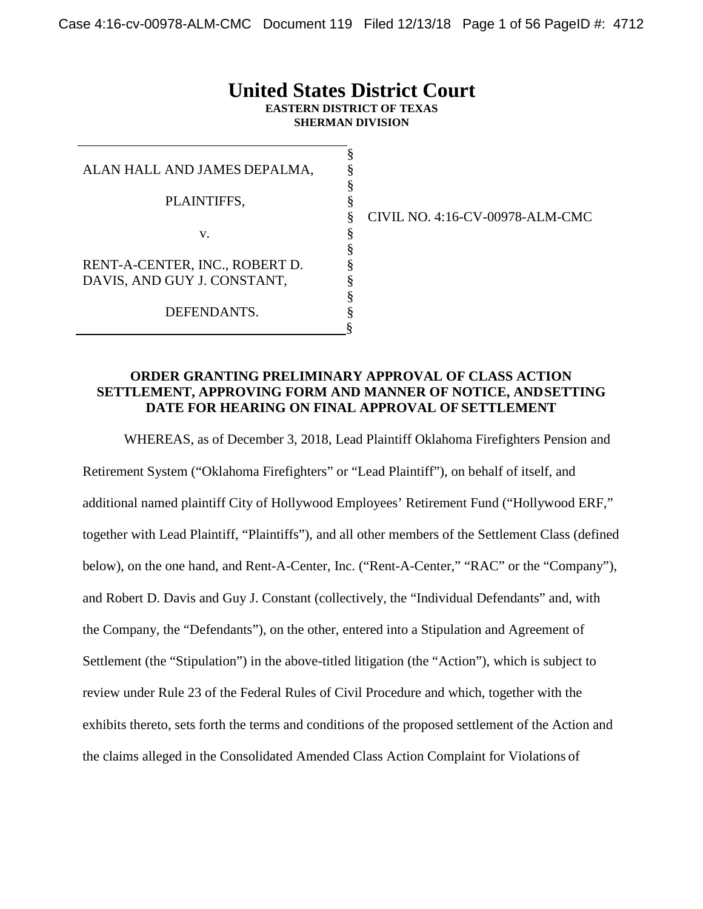# **United States District Court**

**EASTERN DISTRICT OF TEXAS SHERMAN DIVISION**

> § § § §

> § § § § § § §

| ALAN HALL AND JAMES DEPALMA,                                  |
|---------------------------------------------------------------|
| PLAINTIFFS,                                                   |
| $V_{-}$                                                       |
| RENT-A-CENTER, INC., ROBERT D.<br>DAVIS, AND GUY J. CONSTANT, |
| DEFENDANTS.                                                   |

§ CIVIL NO. 4:16-CV-00978-ALM-CMC

#### **ORDER GRANTING PRELIMINARY APPROVAL OF CLASS ACTION SETTLEMENT, APPROVING FORM AND MANNER OF NOTICE, ANDSETTING DATE FOR HEARING ON FINAL APPROVAL OF SETTLEMENT**

WHEREAS, as of December 3, 2018, Lead Plaintiff Oklahoma Firefighters Pension and Retirement System ("Oklahoma Firefighters" or "Lead Plaintiff"), on behalf of itself, and additional named plaintiff City of Hollywood Employees' Retirement Fund ("Hollywood ERF," together with Lead Plaintiff, "Plaintiffs"), and all other members of the Settlement Class (defined below), on the one hand, and Rent-A-Center, Inc. ("Rent-A-Center," "RAC" or the "Company"), and Robert D. Davis and Guy J. Constant (collectively, the "Individual Defendants" and, with the Company, the "Defendants"), on the other, entered into a Stipulation and Agreement of Settlement (the "Stipulation") in the above-titled litigation (the "Action"), which is subject to review under Rule 23 of the Federal Rules of Civil Procedure and which, together with the exhibits thereto, sets forth the terms and conditions of the proposed settlement of the Action and the claims alleged in the Consolidated Amended Class Action Complaint for Violations of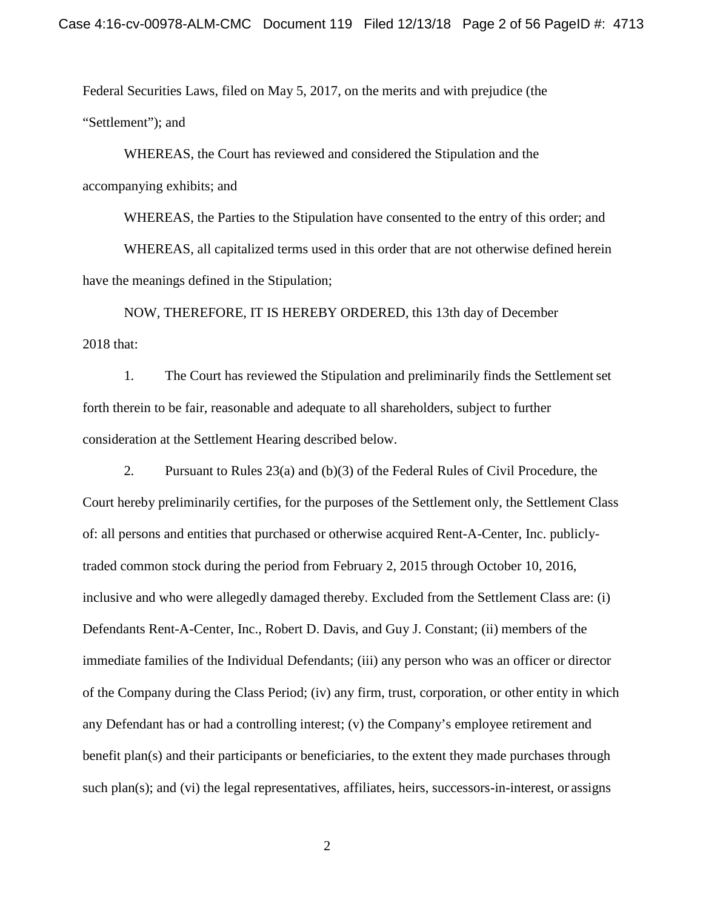Federal Securities Laws, filed on May 5, 2017, on the merits and with prejudice (the "Settlement"); and

WHEREAS, the Court has reviewed and considered the Stipulation and the accompanying exhibits; and

WHEREAS, the Parties to the Stipulation have consented to the entry of this order; and

WHEREAS, all capitalized terms used in this order that are not otherwise defined herein have the meanings defined in the Stipulation;

NOW, THEREFORE, IT IS HEREBY ORDERED, this 13th day of December 2018 that:

1. The Court has reviewed the Stipulation and preliminarily finds the Settlementset forth therein to be fair, reasonable and adequate to all shareholders, subject to further consideration at the Settlement Hearing described below.

2. Pursuant to Rules 23(a) and (b)(3) of the Federal Rules of Civil Procedure, the Court hereby preliminarily certifies, for the purposes of the Settlement only, the Settlement Class of: all persons and entities that purchased or otherwise acquired Rent-A-Center, Inc. publiclytraded common stock during the period from February 2, 2015 through October 10, 2016, inclusive and who were allegedly damaged thereby. Excluded from the Settlement Class are: (i) Defendants Rent-A-Center, Inc., Robert D. Davis, and Guy J. Constant; (ii) members of the immediate families of the Individual Defendants; (iii) any person who was an officer or director of the Company during the Class Period; (iv) any firm, trust, corporation, or other entity in which any Defendant has or had a controlling interest; (v) the Company's employee retirement and benefit plan(s) and their participants or beneficiaries, to the extent they made purchases through such plan(s); and (vi) the legal representatives, affiliates, heirs, successors-in-interest, or assigns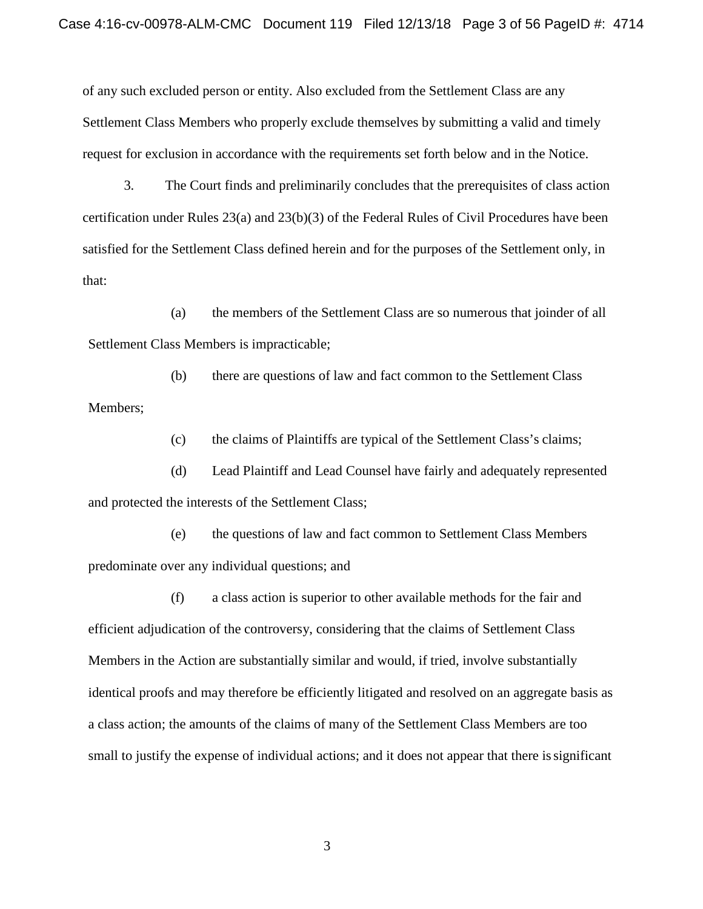of any such excluded person or entity. Also excluded from the Settlement Class are any Settlement Class Members who properly exclude themselves by submitting a valid and timely request for exclusion in accordance with the requirements set forth below and in the Notice.

3. The Court finds and preliminarily concludes that the prerequisites of class action certification under Rules 23(a) and 23(b)(3) of the Federal Rules of Civil Procedures have been satisfied for the Settlement Class defined herein and for the purposes of the Settlement only, in that:

(a) the members of the Settlement Class are so numerous that joinder of all Settlement Class Members is impracticable;

(b) there are questions of law and fact common to the Settlement Class Members;

(c) the claims of Plaintiffs are typical of the Settlement Class's claims;

(d) Lead Plaintiff and Lead Counsel have fairly and adequately represented and protected the interests of the Settlement Class;

(e) the questions of law and fact common to Settlement Class Members predominate over any individual questions; and

(f) a class action is superior to other available methods for the fair and efficient adjudication of the controversy, considering that the claims of Settlement Class Members in the Action are substantially similar and would, if tried, involve substantially identical proofs and may therefore be efficiently litigated and resolved on an aggregate basis as a class action; the amounts of the claims of many of the Settlement Class Members are too small to justify the expense of individual actions; and it does not appear that there issignificant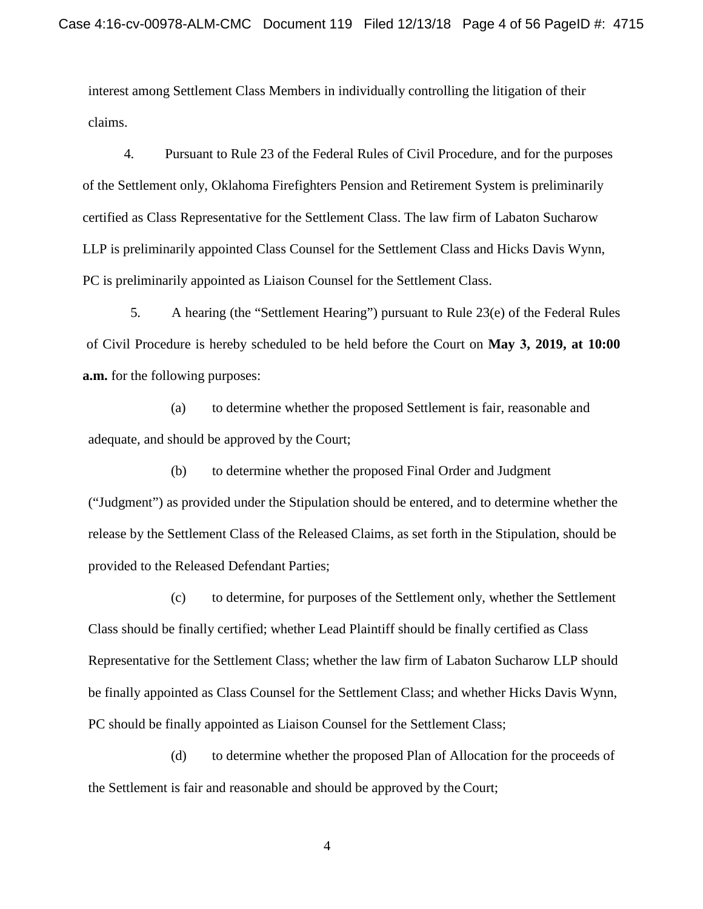interest among Settlement Class Members in individually controlling the litigation of their claims.

4. Pursuant to Rule 23 of the Federal Rules of Civil Procedure, and for the purposes of the Settlement only, Oklahoma Firefighters Pension and Retirement System is preliminarily certified as Class Representative for the Settlement Class. The law firm of Labaton Sucharow LLP is preliminarily appointed Class Counsel for the Settlement Class and Hicks Davis Wynn, PC is preliminarily appointed as Liaison Counsel for the Settlement Class.

5. A hearing (the "Settlement Hearing") pursuant to Rule 23(e) of the Federal Rules of Civil Procedure is hereby scheduled to be held before the Court on **May 3, 2019, at 10:00 a.m.** for the following purposes:

(a) to determine whether the proposed Settlement is fair, reasonable and adequate, and should be approved by the Court;

(b) to determine whether the proposed Final Order and Judgment ("Judgment") as provided under the Stipulation should be entered, and to determine whether the release by the Settlement Class of the Released Claims, as set forth in the Stipulation, should be provided to the Released Defendant Parties;

(c) to determine, for purposes of the Settlement only, whether the Settlement Class should be finally certified; whether Lead Plaintiff should be finally certified as Class Representative for the Settlement Class; whether the law firm of Labaton Sucharow LLP should be finally appointed as Class Counsel for the Settlement Class; and whether Hicks Davis Wynn, PC should be finally appointed as Liaison Counsel for the Settlement Class;

(d) to determine whether the proposed Plan of Allocation for the proceeds of the Settlement is fair and reasonable and should be approved by the Court;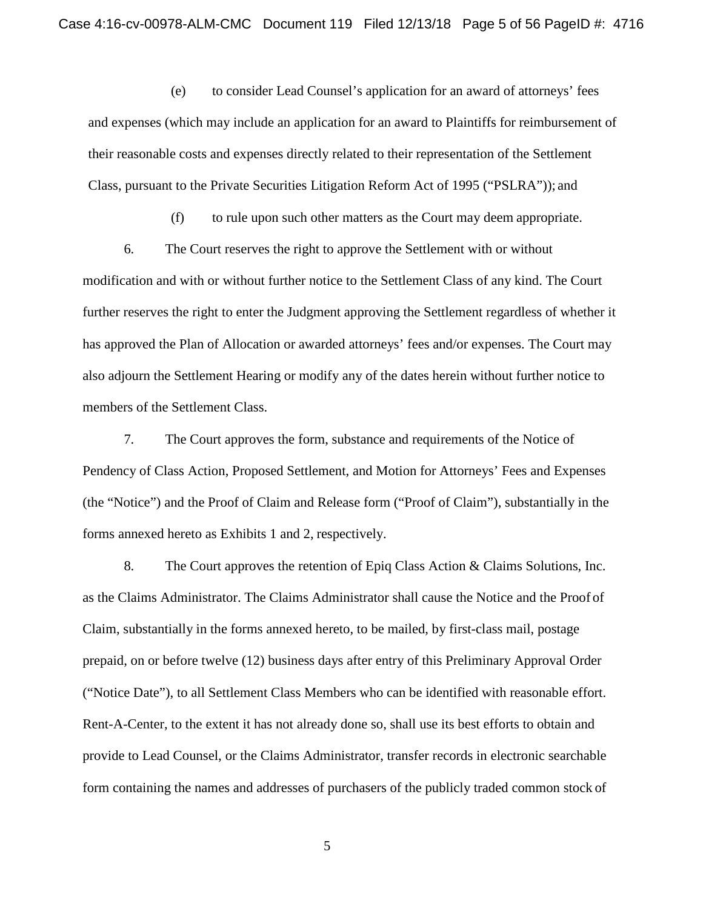(e) to consider Lead Counsel's application for an award of attorneys' fees and expenses (which may include an application for an award to Plaintiffs for reimbursement of their reasonable costs and expenses directly related to their representation of the Settlement Class, pursuant to the Private Securities Litigation Reform Act of 1995 ("PSLRA")); and

(f) to rule upon such other matters as the Court may deem appropriate.

6. The Court reserves the right to approve the Settlement with or without modification and with or without further notice to the Settlement Class of any kind. The Court further reserves the right to enter the Judgment approving the Settlement regardless of whether it has approved the Plan of Allocation or awarded attorneys' fees and/or expenses. The Court may also adjourn the Settlement Hearing or modify any of the dates herein without further notice to members of the Settlement Class.

7. The Court approves the form, substance and requirements of the Notice of Pendency of Class Action, Proposed Settlement, and Motion for Attorneys' Fees and Expenses (the "Notice") and the Proof of Claim and Release form ("Proof of Claim"), substantially in the forms annexed hereto as Exhibits 1 and 2, respectively.

8. The Court approves the retention of Epiq Class Action & Claims Solutions, Inc. as the Claims Administrator. The Claims Administrator shall cause the Notice and the Proof of Claim, substantially in the forms annexed hereto, to be mailed, by first-class mail, postage prepaid, on or before twelve (12) business days after entry of this Preliminary Approval Order ("Notice Date"), to all Settlement Class Members who can be identified with reasonable effort. Rent-A-Center, to the extent it has not already done so, shall use its best efforts to obtain and provide to Lead Counsel, or the Claims Administrator, transfer records in electronic searchable form containing the names and addresses of purchasers of the publicly traded common stock of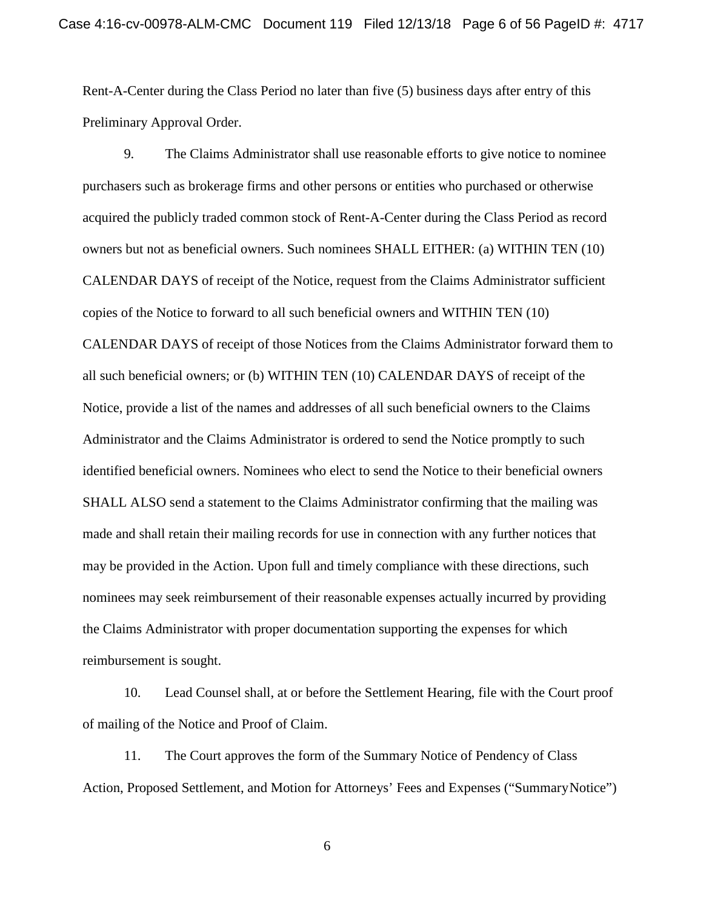Rent-A-Center during the Class Period no later than five (5) business days after entry of this Preliminary Approval Order.

9. The Claims Administrator shall use reasonable efforts to give notice to nominee purchasers such as brokerage firms and other persons or entities who purchased or otherwise acquired the publicly traded common stock of Rent-A-Center during the Class Period as record owners but not as beneficial owners. Such nominees SHALL EITHER: (a) WITHIN TEN (10) CALENDAR DAYS of receipt of the Notice, request from the Claims Administrator sufficient copies of the Notice to forward to all such beneficial owners and WITHIN TEN (10) CALENDAR DAYS of receipt of those Notices from the Claims Administrator forward them to all such beneficial owners; or (b) WITHIN TEN (10) CALENDAR DAYS of receipt of the Notice, provide a list of the names and addresses of all such beneficial owners to the Claims Administrator and the Claims Administrator is ordered to send the Notice promptly to such identified beneficial owners. Nominees who elect to send the Notice to their beneficial owners SHALL ALSO send a statement to the Claims Administrator confirming that the mailing was made and shall retain their mailing records for use in connection with any further notices that may be provided in the Action. Upon full and timely compliance with these directions, such nominees may seek reimbursement of their reasonable expenses actually incurred by providing the Claims Administrator with proper documentation supporting the expenses for which reimbursement is sought.

10. Lead Counsel shall, at or before the Settlement Hearing, file with the Court proof of mailing of the Notice and Proof of Claim.

11. The Court approves the form of the Summary Notice of Pendency of Class Action, Proposed Settlement, and Motion for Attorneys' Fees and Expenses ("SummaryNotice")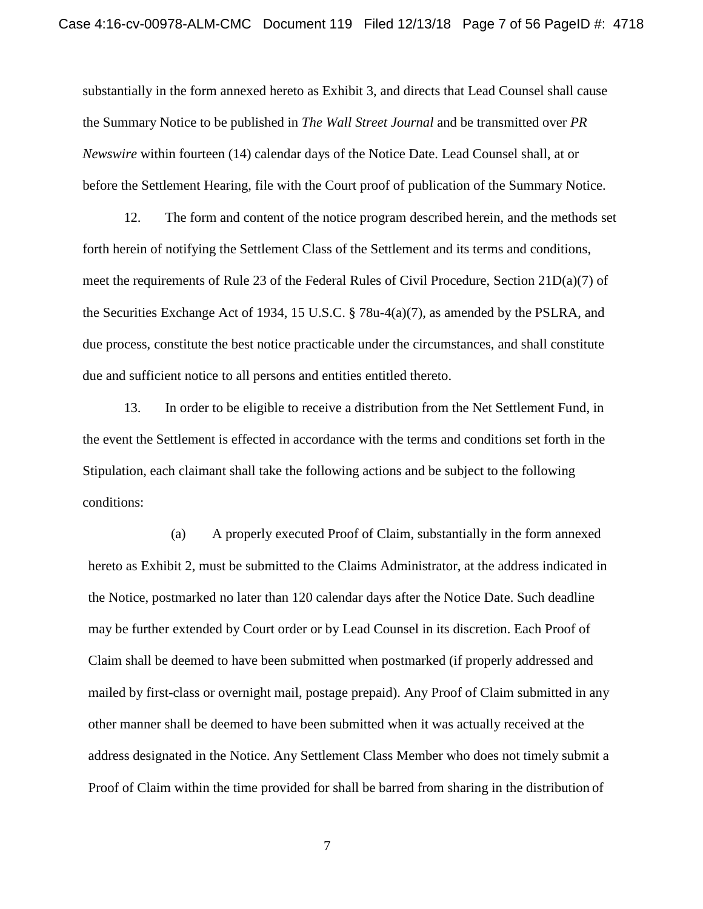substantially in the form annexed hereto as Exhibit 3, and directs that Lead Counsel shall cause the Summary Notice to be published in *The Wall Street Journal* and be transmitted over *PR Newswire* within fourteen (14) calendar days of the Notice Date. Lead Counsel shall, at or before the Settlement Hearing, file with the Court proof of publication of the Summary Notice.

12. The form and content of the notice program described herein, and the methods set forth herein of notifying the Settlement Class of the Settlement and its terms and conditions, meet the requirements of Rule 23 of the Federal Rules of Civil Procedure, Section 21D(a)(7) of the Securities Exchange Act of 1934, 15 U.S.C. § 78u-4(a)(7), as amended by the PSLRA, and due process, constitute the best notice practicable under the circumstances, and shall constitute due and sufficient notice to all persons and entities entitled thereto.

13. In order to be eligible to receive a distribution from the Net Settlement Fund, in the event the Settlement is effected in accordance with the terms and conditions set forth in the Stipulation, each claimant shall take the following actions and be subject to the following conditions:

(a) A properly executed Proof of Claim, substantially in the form annexed hereto as Exhibit 2, must be submitted to the Claims Administrator, at the address indicated in the Notice, postmarked no later than 120 calendar days after the Notice Date. Such deadline may be further extended by Court order or by Lead Counsel in its discretion. Each Proof of Claim shall be deemed to have been submitted when postmarked (if properly addressed and mailed by first-class or overnight mail, postage prepaid). Any Proof of Claim submitted in any other manner shall be deemed to have been submitted when it was actually received at the address designated in the Notice. Any Settlement Class Member who does not timely submit a Proof of Claim within the time provided for shall be barred from sharing in the distribution of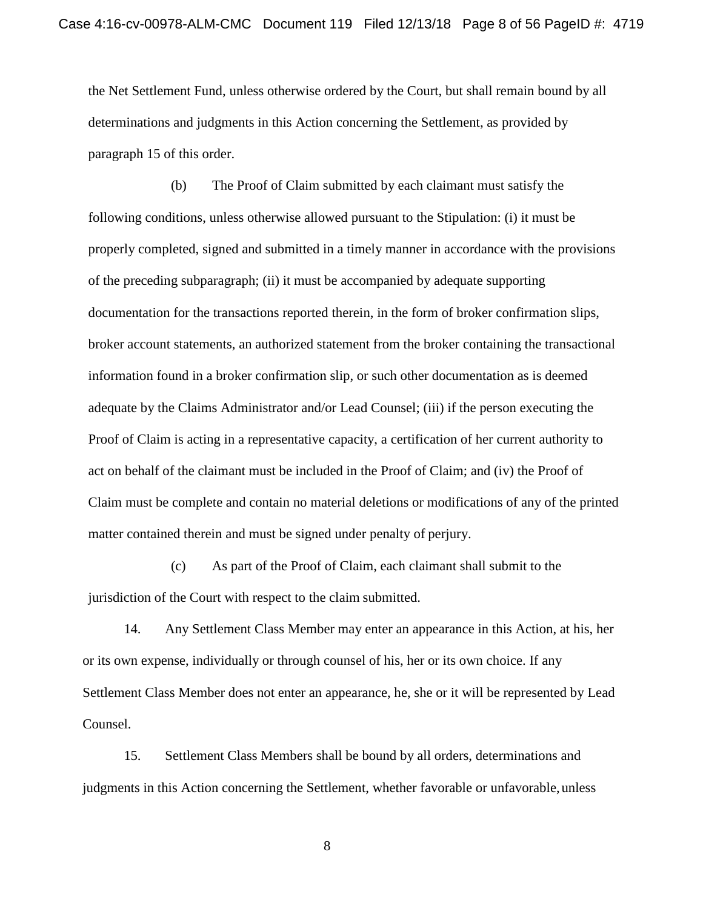the Net Settlement Fund, unless otherwise ordered by the Court, but shall remain bound by all determinations and judgments in this Action concerning the Settlement, as provided by paragraph 15 of this order.

(b) The Proof of Claim submitted by each claimant must satisfy the following conditions, unless otherwise allowed pursuant to the Stipulation: (i) it must be properly completed, signed and submitted in a timely manner in accordance with the provisions of the preceding subparagraph; (ii) it must be accompanied by adequate supporting documentation for the transactions reported therein, in the form of broker confirmation slips, broker account statements, an authorized statement from the broker containing the transactional information found in a broker confirmation slip, or such other documentation as is deemed adequate by the Claims Administrator and/or Lead Counsel; (iii) if the person executing the Proof of Claim is acting in a representative capacity, a certification of her current authority to act on behalf of the claimant must be included in the Proof of Claim; and (iv) the Proof of Claim must be complete and contain no material deletions or modifications of any of the printed matter contained therein and must be signed under penalty of perjury.

(c) As part of the Proof of Claim, each claimant shall submit to the jurisdiction of the Court with respect to the claim submitted.

14. Any Settlement Class Member may enter an appearance in this Action, at his, her or its own expense, individually or through counsel of his, her or its own choice. If any Settlement Class Member does not enter an appearance, he, she or it will be represented by Lead Counsel.

15. Settlement Class Members shall be bound by all orders, determinations and judgments in this Action concerning the Settlement, whether favorable or unfavorable,unless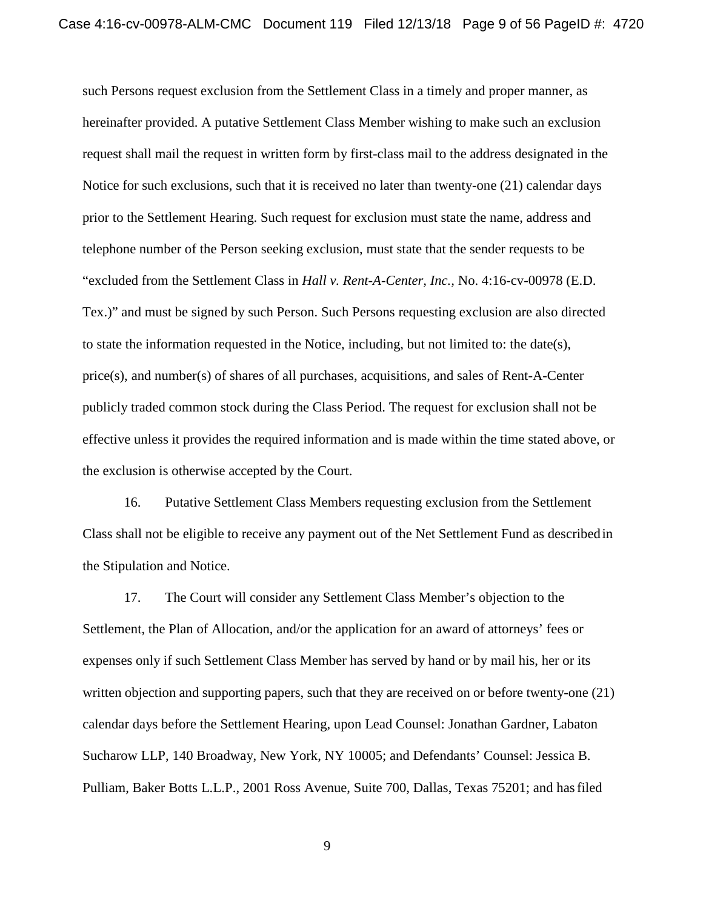such Persons request exclusion from the Settlement Class in a timely and proper manner, as hereinafter provided. A putative Settlement Class Member wishing to make such an exclusion request shall mail the request in written form by first-class mail to the address designated in the Notice for such exclusions, such that it is received no later than twenty-one (21) calendar days prior to the Settlement Hearing. Such request for exclusion must state the name, address and telephone number of the Person seeking exclusion, must state that the sender requests to be "excluded from the Settlement Class in *Hall v. Rent-A-Center, Inc.,* No. 4:16-cv-00978 (E.D. Tex.)" and must be signed by such Person. Such Persons requesting exclusion are also directed to state the information requested in the Notice, including, but not limited to: the date(s), price(s), and number(s) of shares of all purchases, acquisitions, and sales of Rent-A-Center publicly traded common stock during the Class Period. The request for exclusion shall not be effective unless it provides the required information and is made within the time stated above, or the exclusion is otherwise accepted by the Court.

16. Putative Settlement Class Members requesting exclusion from the Settlement Class shall not be eligible to receive any payment out of the Net Settlement Fund as describedin the Stipulation and Notice.

17. The Court will consider any Settlement Class Member's objection to the Settlement, the Plan of Allocation, and/or the application for an award of attorneys' fees or expenses only if such Settlement Class Member has served by hand or by mail his, her or its written objection and supporting papers, such that they are received on or before twenty-one (21) calendar days before the Settlement Hearing, upon Lead Counsel: Jonathan Gardner, Labaton Sucharow LLP, 140 Broadway, New York, NY 10005; and Defendants' Counsel: Jessica B. Pulliam, Baker Botts L.L.P., 2001 Ross Avenue, Suite 700, Dallas, Texas 75201; and hasfiled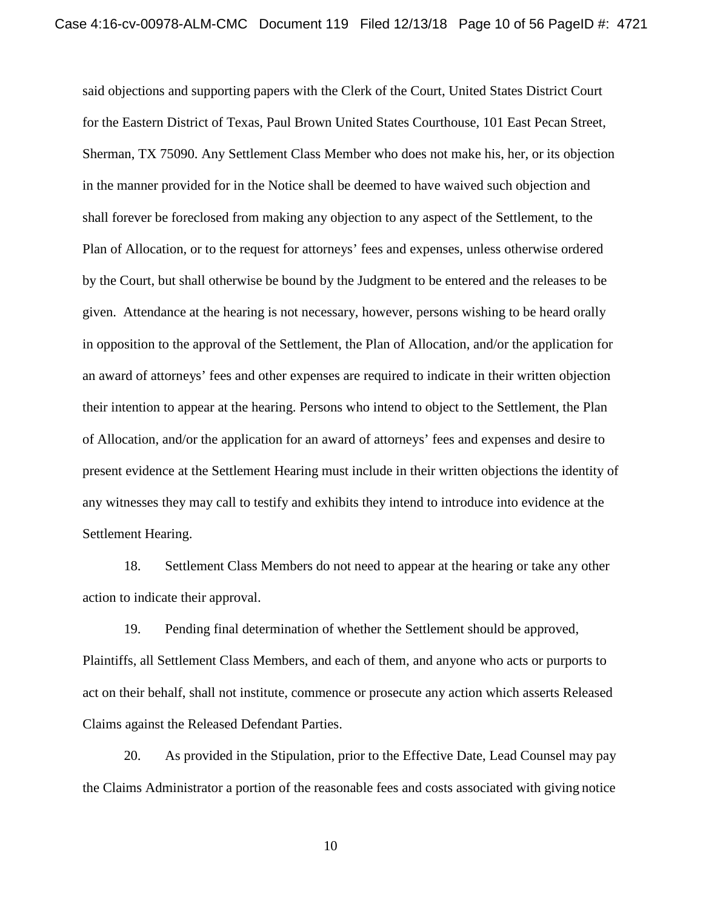said objections and supporting papers with the Clerk of the Court, United States District Court for the Eastern District of Texas, Paul Brown United States Courthouse, 101 East Pecan Street, Sherman, TX 75090. Any Settlement Class Member who does not make his, her, or its objection in the manner provided for in the Notice shall be deemed to have waived such objection and shall forever be foreclosed from making any objection to any aspect of the Settlement, to the Plan of Allocation, or to the request for attorneys' fees and expenses, unless otherwise ordered by the Court, but shall otherwise be bound by the Judgment to be entered and the releases to be given. Attendance at the hearing is not necessary, however, persons wishing to be heard orally in opposition to the approval of the Settlement, the Plan of Allocation, and/or the application for an award of attorneys' fees and other expenses are required to indicate in their written objection their intention to appear at the hearing. Persons who intend to object to the Settlement, the Plan of Allocation, and/or the application for an award of attorneys' fees and expenses and desire to present evidence at the Settlement Hearing must include in their written objections the identity of any witnesses they may call to testify and exhibits they intend to introduce into evidence at the Settlement Hearing.

18. Settlement Class Members do not need to appear at the hearing or take any other action to indicate their approval.

19. Pending final determination of whether the Settlement should be approved, Plaintiffs, all Settlement Class Members, and each of them, and anyone who acts or purports to act on their behalf, shall not institute, commence or prosecute any action which asserts Released Claims against the Released Defendant Parties.

20. As provided in the Stipulation, prior to the Effective Date, Lead Counsel may pay the Claims Administrator a portion of the reasonable fees and costs associated with giving notice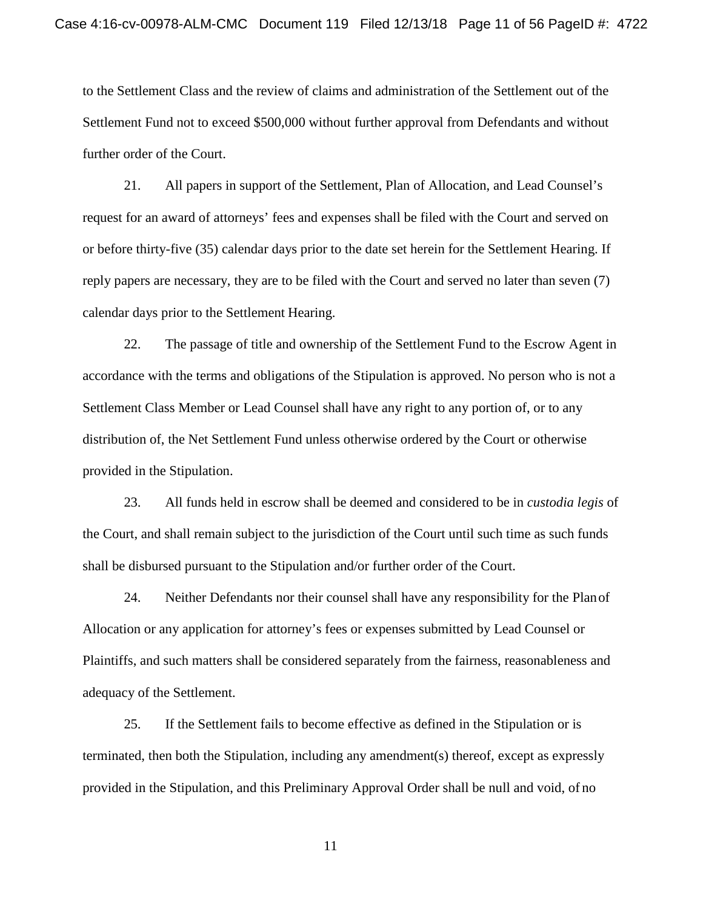to the Settlement Class and the review of claims and administration of the Settlement out of the Settlement Fund not to exceed \$500,000 without further approval from Defendants and without further order of the Court.

21. All papers in support of the Settlement, Plan of Allocation, and Lead Counsel's request for an award of attorneys' fees and expenses shall be filed with the Court and served on or before thirty-five (35) calendar days prior to the date set herein for the Settlement Hearing. If reply papers are necessary, they are to be filed with the Court and served no later than seven (7) calendar days prior to the Settlement Hearing.

22. The passage of title and ownership of the Settlement Fund to the Escrow Agent in accordance with the terms and obligations of the Stipulation is approved. No person who is not a Settlement Class Member or Lead Counsel shall have any right to any portion of, or to any distribution of, the Net Settlement Fund unless otherwise ordered by the Court or otherwise provided in the Stipulation.

23. All funds held in escrow shall be deemed and considered to be in *custodia legis* of the Court, and shall remain subject to the jurisdiction of the Court until such time as such funds shall be disbursed pursuant to the Stipulation and/or further order of the Court.

24. Neither Defendants nor their counsel shall have any responsibility for the Planof Allocation or any application for attorney's fees or expenses submitted by Lead Counsel or Plaintiffs, and such matters shall be considered separately from the fairness, reasonableness and adequacy of the Settlement.

25. If the Settlement fails to become effective as defined in the Stipulation or is terminated, then both the Stipulation, including any amendment(s) thereof, except as expressly provided in the Stipulation, and this Preliminary Approval Order shall be null and void, of no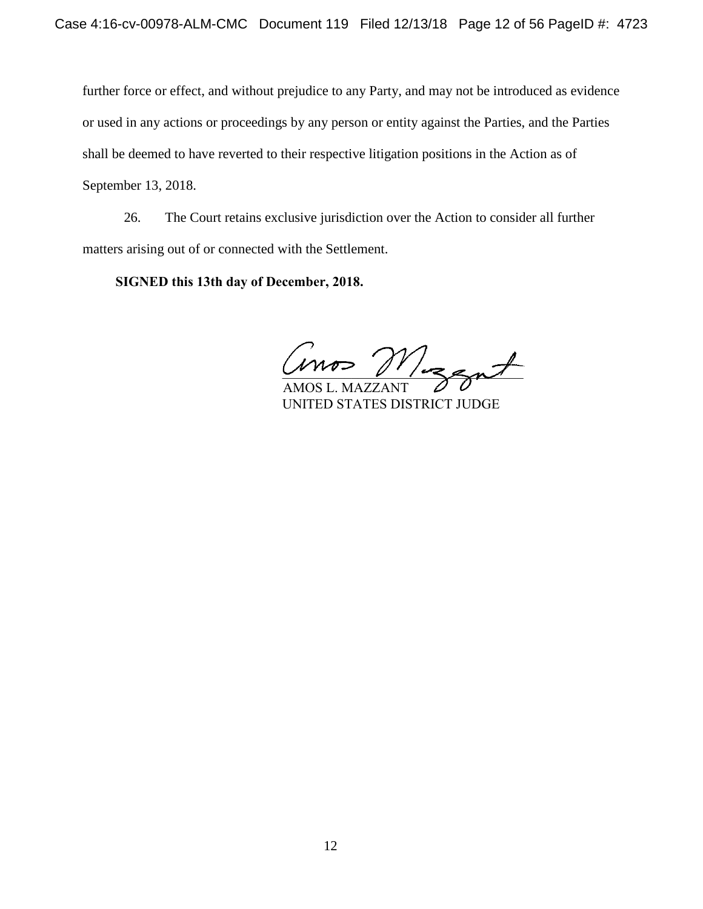further force or effect, and without prejudice to any Party, and may not be introduced as evidence or used in any actions or proceedings by any person or entity against the Parties, and the Parties shall be deemed to have reverted to their respective litigation positions in the Action as of September 13, 2018.

26. The Court retains exclusive jurisdiction over the Action to consider all further matters arising out of or connected with the Settlement.

 **SIGNED this 13th day of December, 2018.**

 $m$ os  $M$ izzat

 AMOS L. MAZZANT UNITED STATES DISTRICT JUDGE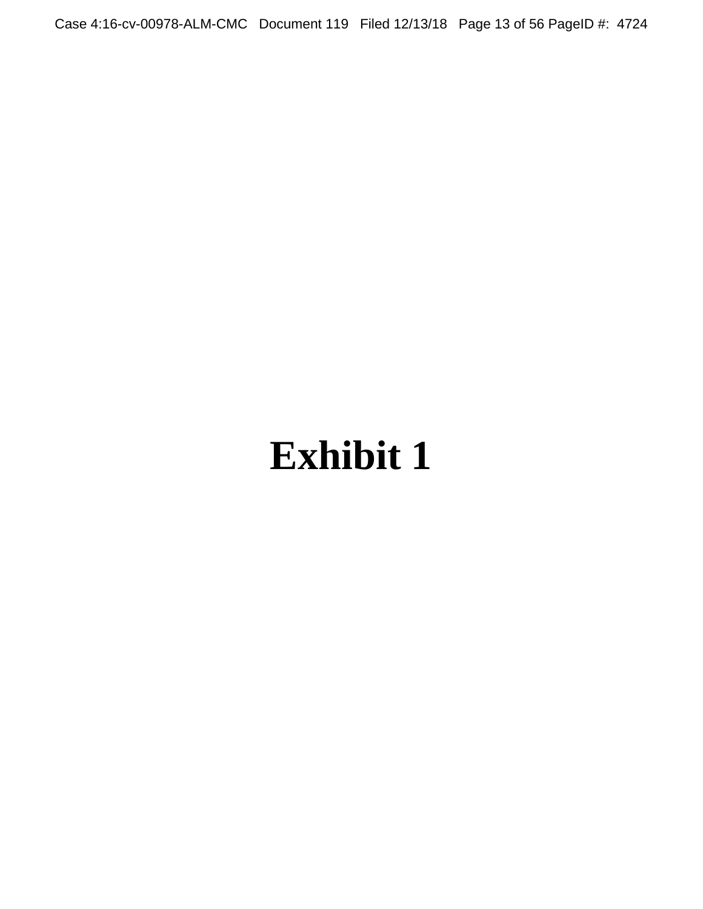Case 4:16-cv-00978-ALM-CMC Document 119 Filed 12/13/18 Page 13 of 56 PageID #: 4724

# **Exhibit 1**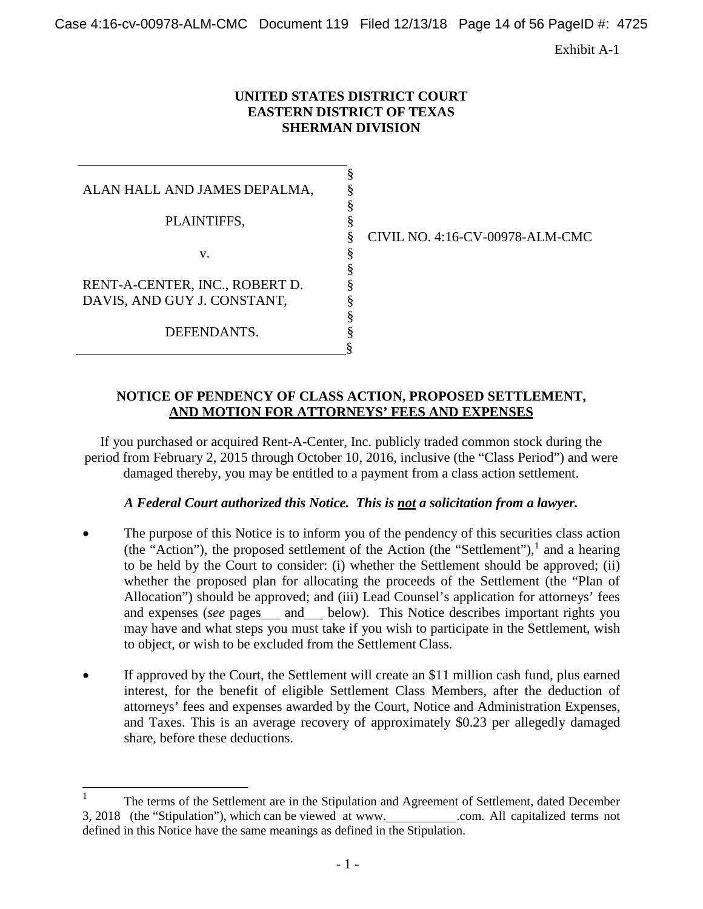Case 4:16-cv-00978-ALM-CMC Document 119 Filed 12/13/18 Page 14 of 56 PageID #: 4725

Exhibit A-1

#### **UNITED STATES DISTRICT COURT EASTERN DISTRICT OF TEXAS SHERMAN DIVISION**

§ § §

§

§ § § § § § §

ALAN HALL AND JAMES DEPALMA, PLAINTIFFS, v. RENT-A-CENTER, INC., ROBERT D. DAVIS, AND GUY J. CONSTANT, DEFENDANTS.

§ CIVIL NO. 4:16-CV-00978-ALM-CMC

#### **NOTICE OF PENDENCY OF CLASS ACTION, PROPOSED SETTLEMENT, AND MOTION FOR ATTORNEYS' FEES AND EXPENSES**

If you purchased or acquired Rent-A-Center, Inc. publicly traded common stock during the period from February 2, 2015 through October 10, 2016, inclusive (the "Class Period") and were damaged thereby, you may be entitled to a payment from a class action settlement.

#### *A Federal Court authorized this Notice. This is not a solicitation from a lawyer.*

- The purpose of this Notice is to inform you of the pendency of this securities class action (the "Action"), the proposed settlement of the Action (the "Settlement"),<sup>1</sup> and a hearing to be held by the Court to consider: (i) whether the Settlement should be approved; (ii) whether the proposed plan for allocating the proceeds of the Settlement (the "Plan of Allocation") should be approved; and (iii) Lead Counsel's application for attorneys' fees and expenses (*see* pages and below). This Notice describes important rights you may have and what steps you must take if you wish to participate in the Settlement, wish to object, or wish to be excluded from the Settlement Class.
- If approved by the Court, the Settlement will create an \$11 million cash fund, plus earned interest, for the benefit of eligible Settlement Class Members, after the deduction of attorneys' fees and expenses awarded by the Court, Notice and Administration Expenses, and Taxes. This is an average recovery of approximately \$0.23 per allegedly damaged share, before these deductions.

The terms of the Settlement are in the Stipulation and Agreement of Settlement, dated December 3, 2018 (the "Stipulation"), which can be viewed at [www.](http://www/) .com. All capitalized terms not defined in this Notice have the same meanings as defined in the Stipulation.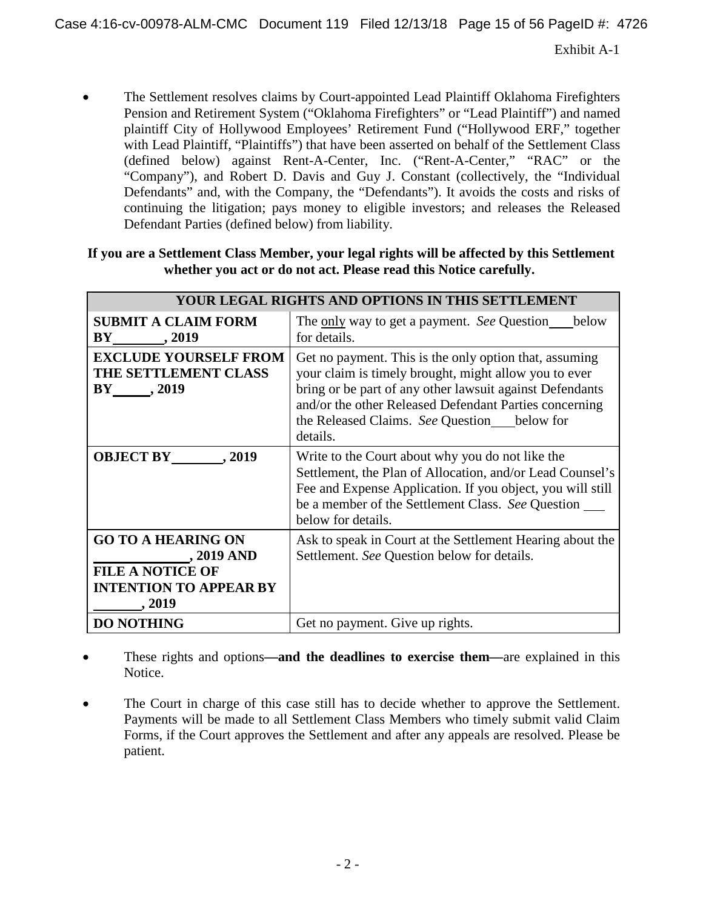• The Settlement resolves claims by Court-appointed Lead Plaintiff Oklahoma Firefighters Pension and Retirement System ("Oklahoma Firefighters" or "Lead Plaintiff") and named plaintiff City of Hollywood Employees' Retirement Fund ("Hollywood ERF," together with Lead Plaintiff, "Plaintiffs") that have been asserted on behalf of the Settlement Class (defined below) against Rent-A-Center, Inc. ("Rent-A-Center," "RAC" or the "Company"), and Robert D. Davis and Guy J. Constant (collectively, the "Individual Defendants" and, with the Company, the "Defendants"). It avoids the costs and risks of continuing the litigation; pays money to eligible investors; and releases the Released Defendant Parties (defined below) from liability.

**If you are a Settlement Class Member, your legal rights will be affected by this Settlement whether you act or do not act. Please read this Notice carefully.**

|                                                                                                               | YOUR LEGAL RIGHTS AND OPTIONS IN THIS SETTLEMENT                                                                                                                                                                                                                                                 |
|---------------------------------------------------------------------------------------------------------------|--------------------------------------------------------------------------------------------------------------------------------------------------------------------------------------------------------------------------------------------------------------------------------------------------|
| <b>SUBMIT A CLAIM FORM</b><br>$BY_$ , 2019                                                                    | The <u>only</u> way to get a payment. See Question<br>below<br>for details.                                                                                                                                                                                                                      |
| <b>EXCLUDE YOURSELF FROM</b><br>THE SETTLEMENT CLASS<br>$BY \underline{\hspace{1cm}} 2019$                    | Get no payment. This is the only option that, assuming<br>your claim is timely brought, might allow you to ever<br>bring or be part of any other lawsuit against Defendants<br>and/or the other Released Defendant Parties concerning<br>the Released Claims. See Question below for<br>details. |
| <b>OBJECT BY</b><br>. 2019                                                                                    | Write to the Court about why you do not like the<br>Settlement, the Plan of Allocation, and/or Lead Counsel's<br>Fee and Expense Application. If you object, you will still<br>be a member of the Settlement Class. See Question<br>below for details.                                           |
| <b>GO TO A HEARING ON</b><br>, 2019 AND<br><b>FILE A NOTICE OF</b><br><b>INTENTION TO APPEAR BY</b><br>, 2019 | Ask to speak in Court at the Settlement Hearing about the<br>Settlement. See Question below for details.                                                                                                                                                                                         |
| <b>DO NOTHING</b>                                                                                             | Get no payment. Give up rights.                                                                                                                                                                                                                                                                  |

- These rights and options—and the deadlines to exercise them—are explained in this Notice.
- The Court in charge of this case still has to decide whether to approve the Settlement. Payments will be made to all Settlement Class Members who timely submit valid Claim Forms, if the Court approves the Settlement and after any appeals are resolved. Please be patient.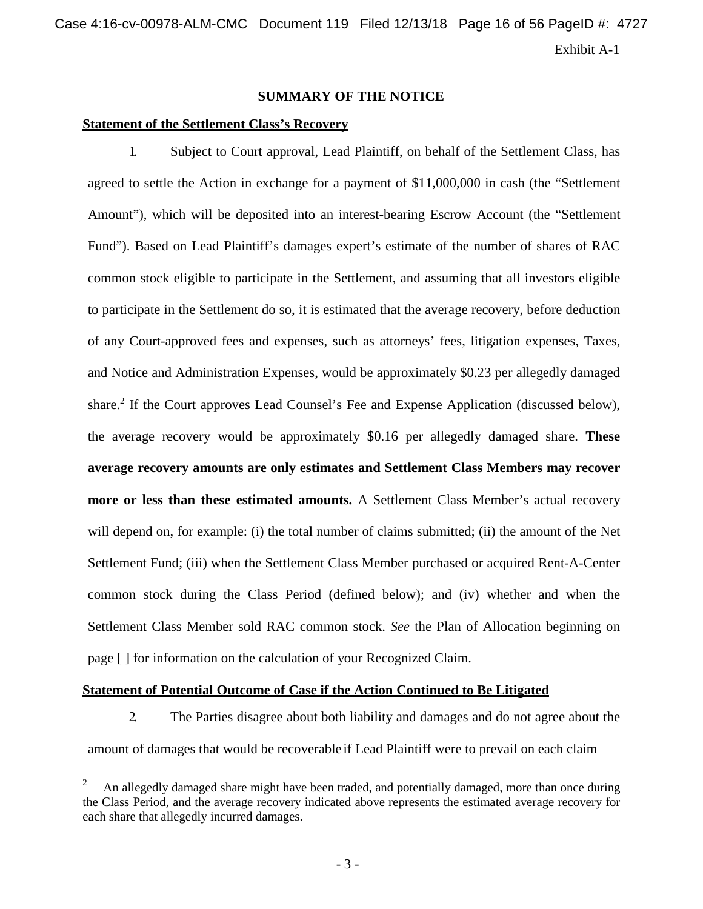#### **SUMMARY OF THE NOTICE**

#### **Statement of the Settlement Class's Recovery**

1. Subject to Court approval, Lead Plaintiff, on behalf of the Settlement Class, has agreed to settle the Action in exchange for a payment of \$11,000,000 in cash (the "Settlement Amount"), which will be deposited into an interest-bearing Escrow Account (the "Settlement Fund"). Based on Lead Plaintiff's damages expert's estimate of the number of shares of RAC common stock eligible to participate in the Settlement, and assuming that all investors eligible to participate in the Settlement do so, it is estimated that the average recovery, before deduction of any Court-approved fees and expenses, such as attorneys' fees, litigation expenses, Taxes, and Notice and Administration Expenses, would be approximately \$0.23 per allegedly damaged share.<sup>2</sup> If the Court approves Lead Counsel's Fee and Expense Application (discussed below), the average recovery would be approximately \$0.16 per allegedly damaged share. **These average recovery amounts are only estimates and Settlement Class Members may recover more or less than these estimated amounts.** A Settlement Class Member's actual recovery will depend on, for example: (i) the total number of claims submitted; (ii) the amount of the Net Settlement Fund; (iii) when the Settlement Class Member purchased or acquired Rent-A-Center common stock during the Class Period (defined below); and (iv) whether and when the Settlement Class Member sold RAC common stock. *See* the Plan of Allocation beginning on page [ ] for information on the calculation of your Recognized Claim.

#### **Statement of Potential Outcome of Case if the Action Continued to Be Litigated**

2. The Parties disagree about both liability and damages and do not agree about the amount of damages that would be recoverable if Lead Plaintiff were to prevail on each claim

<sup>2</sup> An allegedly damaged share might have been traded, and potentially damaged, more than once during the Class Period, and the average recovery indicated above represents the estimated average recovery for each share that allegedly incurred damages.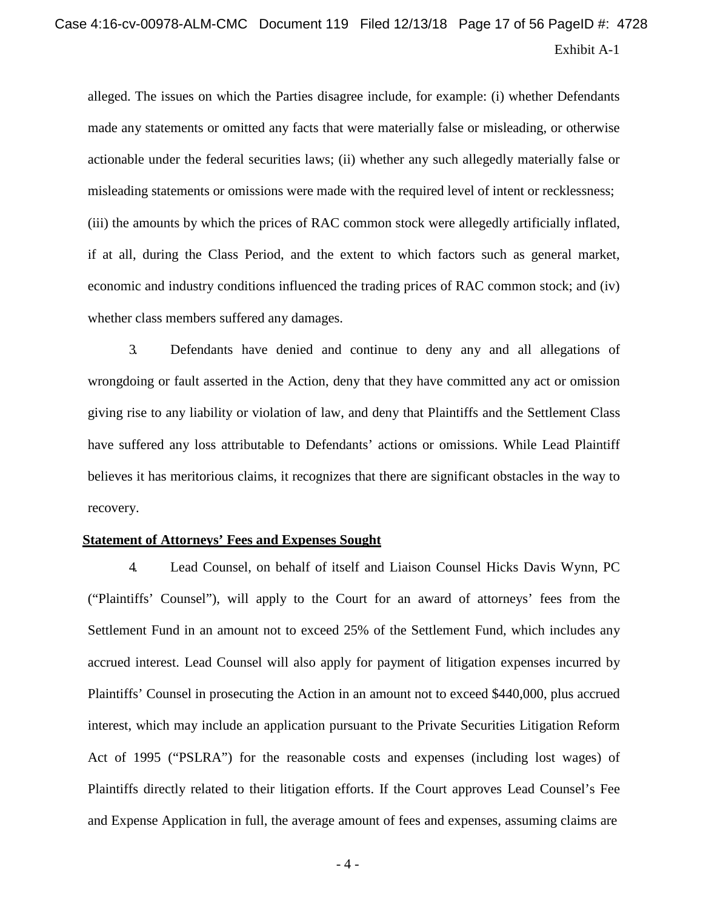# Exhibit A-1 Case 4:16-cv-00978-ALM-CMC Document 119 Filed 12/13/18 Page 17 of 56 PageID #: 4728

alleged. The issues on which the Parties disagree include, for example: (i) whether Defendants made any statements or omitted any facts that were materially false or misleading, or otherwise actionable under the federal securities laws; (ii) whether any such allegedly materially false or misleading statements or omissions were made with the required level of intent or recklessness; (iii) the amounts by which the prices of RAC common stock were allegedly artificially inflated, if at all, during the Class Period, and the extent to which factors such as general market, economic and industry conditions influenced the trading prices of RAC common stock; and (iv) whether class members suffered any damages.

3. Defendants have denied and continue to deny any and all allegations of wrongdoing or fault asserted in the Action, deny that they have committed any act or omission giving rise to any liability or violation of law, and deny that Plaintiffs and the Settlement Class have suffered any loss attributable to Defendants' actions or omissions. While Lead Plaintiff believes it has meritorious claims, it recognizes that there are significant obstacles in the way to recovery.

#### **Statement of Attorneys' Fees and Expenses Sought**

4. Lead Counsel, on behalf of itself and Liaison Counsel Hicks Davis Wynn, PC ("Plaintiffs' Counsel"), will apply to the Court for an award of attorneys' fees from the Settlement Fund in an amount not to exceed 25% of the Settlement Fund, which includes any accrued interest. Lead Counsel will also apply for payment of litigation expenses incurred by Plaintiffs' Counsel in prosecuting the Action in an amount not to exceed \$440,000, plus accrued interest, which may include an application pursuant to the Private Securities Litigation Reform Act of 1995 ("PSLRA") for the reasonable costs and expenses (including lost wages) of Plaintiffs directly related to their litigation efforts. If the Court approves Lead Counsel's Fee and Expense Application in full, the average amount of fees and expenses, assuming claims are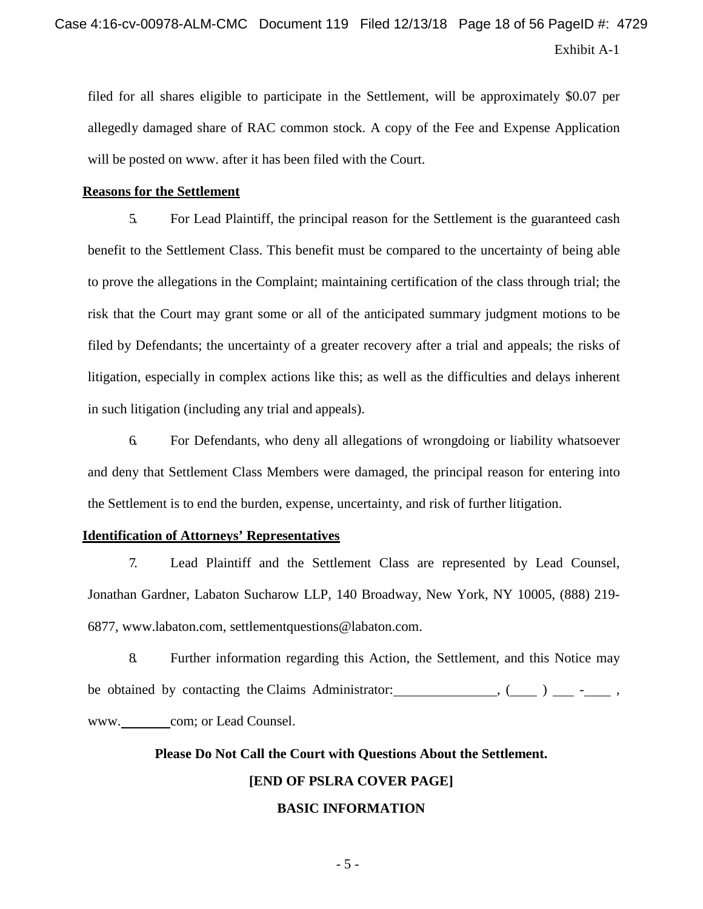filed for all shares eligible to participate in the Settlement, will be approximately \$0.07 per allegedly damaged share of RAC common stock. A copy of the Fee and Expense Application will be posted on [www.](http://www/) after it has been filed with the Court.

#### **Reasons for the Settlement**

5. For Lead Plaintiff, the principal reason for the Settlement is the guaranteed cash benefit to the Settlement Class. This benefit must be compared to the uncertainty of being able to prove the allegations in the Complaint; maintaining certification of the class through trial; the risk that the Court may grant some or all of the anticipated summary judgment motions to be filed by Defendants; the uncertainty of a greater recovery after a trial and appeals; the risks of litigation, especially in complex actions like this; as well as the difficulties and delays inherent in such litigation (including any trial and appeals).

6. For Defendants, who deny all allegations of wrongdoing or liability whatsoever and deny that Settlement Class Members were damaged, the principal reason for entering into the Settlement is to end the burden, expense, uncertainty, and risk of further litigation.

#### **Identification of Attorneys' Representatives**

7. Lead Plaintiff and the Settlement Class are represented by Lead Counsel, Jonathan Gardner, Labaton Sucharow LLP, 140 Broadway, New York, NY 10005, (888) 219- 6877, [www.labaton.com,](http://www.labaton.com/) [settlementquestions@labaton.com.](mailto:settlementquestions@labaton.com)

8. Further information regarding this Action, the Settlement, and this Notice may be obtained by contacting the Claims Administrator:  $($   $)$   $$ [www.](http://www/) com; or Lead Counsel.

# **Please Do Not Call the Court with Questions About the Settlement. [END OF PSLRA COVER PAGE] BASIC INFORMATION**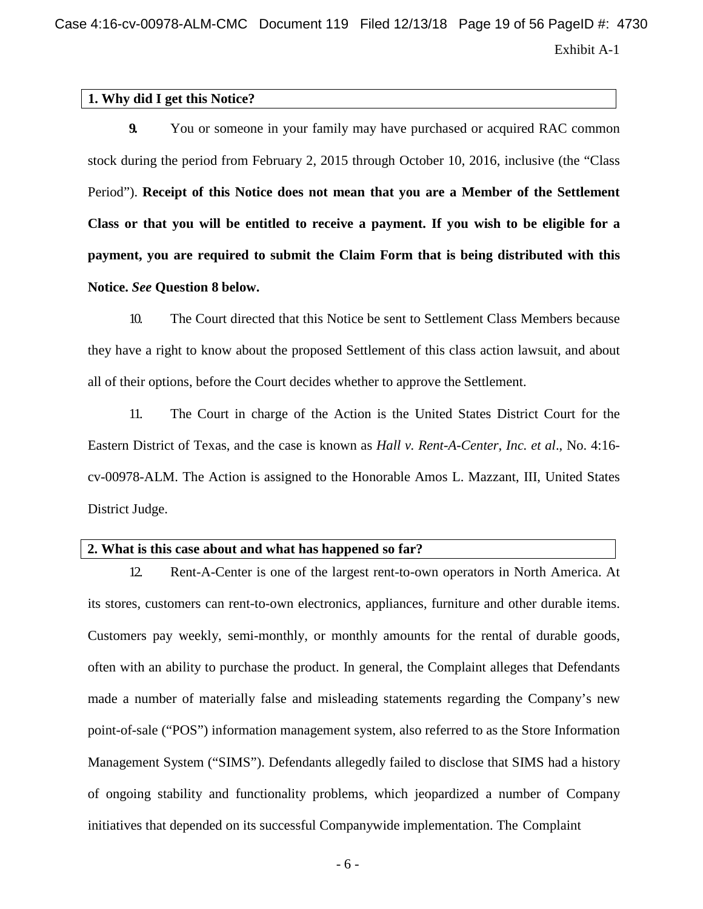Exhibit A-1 Case 4:16-cv-00978-ALM-CMC Document 119 Filed 12/13/18 Page 19 of 56 PageID #: 4730

#### **1. Why did I get this Notice?**

**9.** You or someone in your family may have purchased or acquired RAC common stock during the period from February 2, 2015 through October 10, 2016, inclusive (the "Class Period"). **Receipt of this Notice does not mean that you are a Member of the Settlement Class or that you will be entitled to receive a payment. If you wish to be eligible for a payment, you are required to submit the Claim Form that is being distributed with this Notice.** *See* **Question 8 below.**

10. The Court directed that this Notice be sent to Settlement Class Members because they have a right to know about the proposed Settlement of this class action lawsuit, and about all of their options, before the Court decides whether to approve the Settlement.

11. The Court in charge of the Action is the United States District Court for the Eastern District of Texas, and the case is known as *Hall v. Rent-A-Center, Inc. et al*., No. 4:16 cv-00978-ALM. The Action is assigned to the Honorable Amos L. Mazzant, III, United States District Judge.

#### **2. What is this case about and what has happened so far?**

12. Rent-A-Center is one of the largest rent-to-own operators in North America. At its stores, customers can rent-to-own electronics, appliances, furniture and other durable items. Customers pay weekly, semi-monthly, or monthly amounts for the rental of durable goods, often with an ability to purchase the product. In general, the Complaint alleges that Defendants made a number of materially false and misleading statements regarding the Company's new point-of-sale ("POS") information management system, also referred to as the Store Information Management System ("SIMS"). Defendants allegedly failed to disclose that SIMS had a history of ongoing stability and functionality problems, which jeopardized a number of Company initiatives that depended on its successful Companywide implementation. The Complaint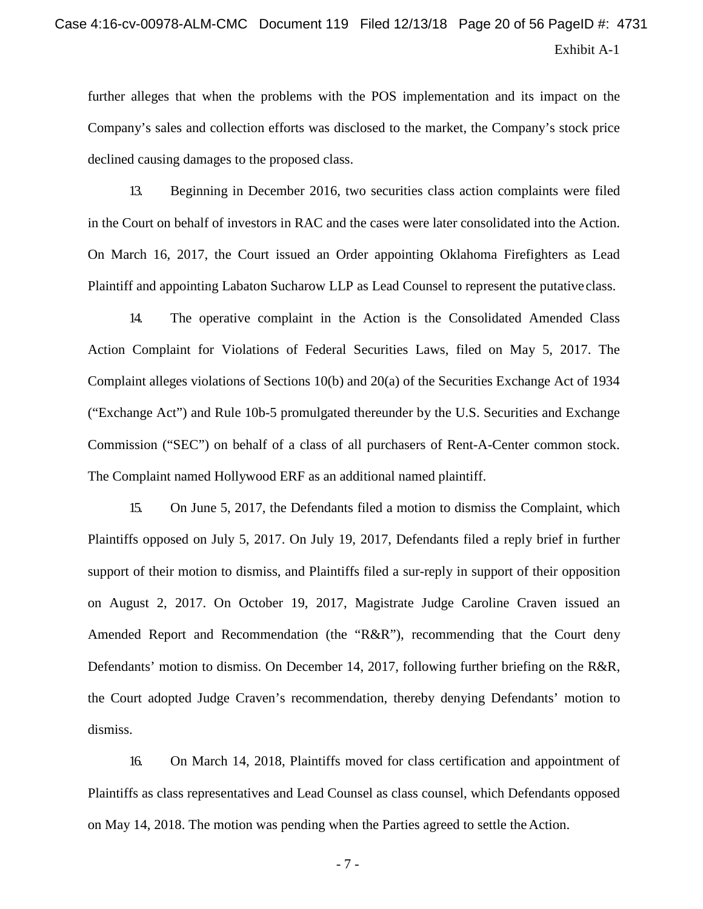# Exhibit A-1 Case 4:16-cv-00978-ALM-CMC Document 119 Filed 12/13/18 Page 20 of 56 PageID #: 4731

further alleges that when the problems with the POS implementation and its impact on the Company's sales and collection efforts was disclosed to the market, the Company's stock price declined causing damages to the proposed class.

13. Beginning in December 2016, two securities class action complaints were filed in the Court on behalf of investors in RAC and the cases were later consolidated into the Action. On March 16, 2017, the Court issued an Order appointing Oklahoma Firefighters as Lead Plaintiff and appointing Labaton Sucharow LLP as Lead Counsel to represent the putative class.

14. The operative complaint in the Action is the Consolidated Amended Class Action Complaint for Violations of Federal Securities Laws, filed on May 5, 2017. The Complaint alleges violations of Sections 10(b) and 20(a) of the Securities Exchange Act of 1934 ("Exchange Act") and Rule 10b-5 promulgated thereunder by the U.S. Securities and Exchange Commission ("SEC") on behalf of a class of all purchasers of Rent-A-Center common stock. The Complaint named Hollywood ERF as an additional named plaintiff.

15. On June 5, 2017, the Defendants filed a motion to dismiss the Complaint, which Plaintiffs opposed on July 5, 2017. On July 19, 2017, Defendants filed a reply brief in further support of their motion to dismiss, and Plaintiffs filed a sur-reply in support of their opposition on August 2, 2017. On October 19, 2017, Magistrate Judge Caroline Craven issued an Amended Report and Recommendation (the "R&R"), recommending that the Court deny Defendants' motion to dismiss. On December 14, 2017, following further briefing on the R&R, the Court adopted Judge Craven's recommendation, thereby denying Defendants' motion to dismiss.

16. On March 14, 2018, Plaintiffs moved for class certification and appointment of Plaintiffs as class representatives and Lead Counsel as class counsel, which Defendants opposed on May 14, 2018. The motion was pending when the Parties agreed to settle the Action.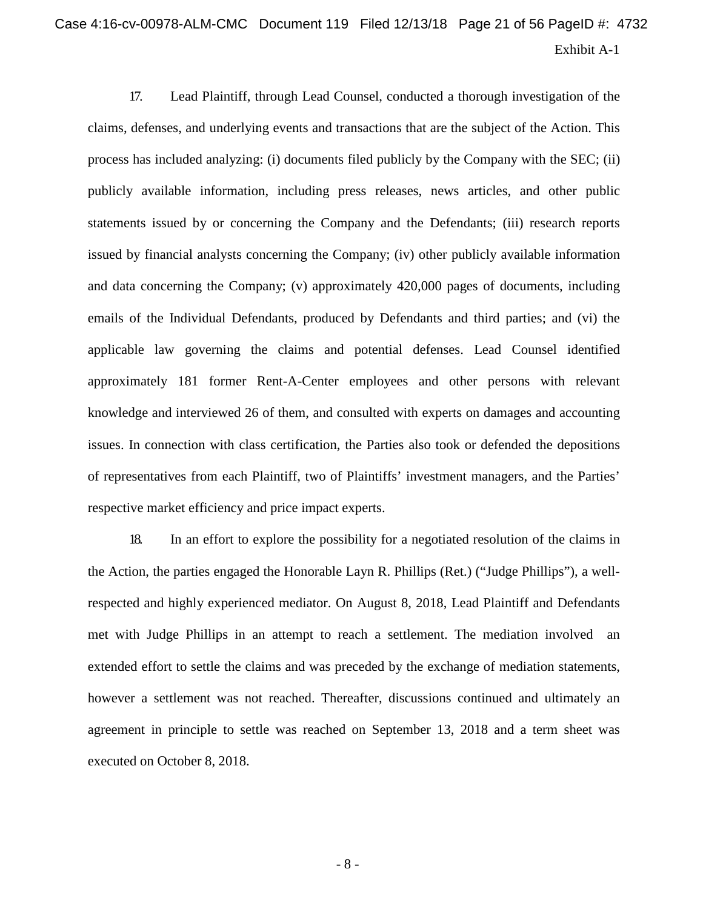# Exhibit A-1 Case 4:16-cv-00978-ALM-CMC Document 119 Filed 12/13/18 Page 21 of 56 PageID #: 4732

17. Lead Plaintiff, through Lead Counsel, conducted a thorough investigation of the claims, defenses, and underlying events and transactions that are the subject of the Action. This process has included analyzing: (i) documents filed publicly by the Company with the SEC; (ii) publicly available information, including press releases, news articles, and other public statements issued by or concerning the Company and the Defendants; (iii) research reports issued by financial analysts concerning the Company; (iv) other publicly available information and data concerning the Company; (v) approximately 420,000 pages of documents, including emails of the Individual Defendants, produced by Defendants and third parties; and (vi) the applicable law governing the claims and potential defenses. Lead Counsel identified approximately 181 former Rent-A-Center employees and other persons with relevant knowledge and interviewed 26 of them, and consulted with experts on damages and accounting issues. In connection with class certification, the Parties also took or defended the depositions of representatives from each Plaintiff, two of Plaintiffs' investment managers, and the Parties' respective market efficiency and price impact experts.

18. In an effort to explore the possibility for a negotiated resolution of the claims in the Action, the parties engaged the Honorable Layn R. Phillips (Ret.) ("Judge Phillips"), a wellrespected and highly experienced mediator. On August 8, 2018, Lead Plaintiff and Defendants met with Judge Phillips in an attempt to reach a settlement. The mediation involved an extended effort to settle the claims and was preceded by the exchange of mediation statements, however a settlement was not reached. Thereafter, discussions continued and ultimately an agreement in principle to settle was reached on September 13, 2018 and a term sheet was executed on October 8, 2018.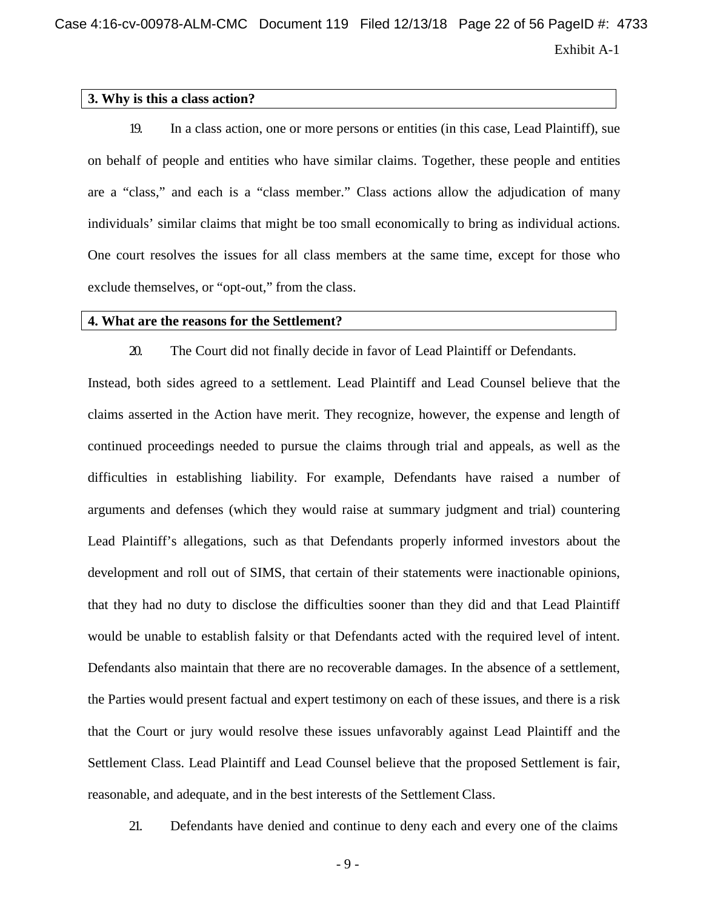Case 4:16-cv-00978-ALM-CMC Document 119 Filed 12/13/18 Page 22 of 56 PageID #: 4733

Exhibit A-1

#### **3. Why is this a class action?**

19. In a class action, one or more persons or entities (in this case, Lead Plaintiff), sue on behalf of people and entities who have similar claims. Together, these people and entities are a "class," and each is a "class member." Class actions allow the adjudication of many individuals' similar claims that might be too small economically to bring as individual actions. One court resolves the issues for all class members at the same time, except for those who exclude themselves, or "opt-out," from the class.

#### **4. What are the reasons for the Settlement?**

20. The Court did not finally decide in favor of Lead Plaintiff or Defendants.

Instead, both sides agreed to a settlement. Lead Plaintiff and Lead Counsel believe that the claims asserted in the Action have merit. They recognize, however, the expense and length of continued proceedings needed to pursue the claims through trial and appeals, as well as the difficulties in establishing liability. For example, Defendants have raised a number of arguments and defenses (which they would raise at summary judgment and trial) countering Lead Plaintiff's allegations, such as that Defendants properly informed investors about the development and roll out of SIMS, that certain of their statements were inactionable opinions, that they had no duty to disclose the difficulties sooner than they did and that Lead Plaintiff would be unable to establish falsity or that Defendants acted with the required level of intent. Defendants also maintain that there are no recoverable damages. In the absence of a settlement, the Parties would present factual and expert testimony on each of these issues, and there is a risk that the Court or jury would resolve these issues unfavorably against Lead Plaintiff and the Settlement Class. Lead Plaintiff and Lead Counsel believe that the proposed Settlement is fair, reasonable, and adequate, and in the best interests of the Settlement Class.

21. Defendants have denied and continue to deny each and every one of the claims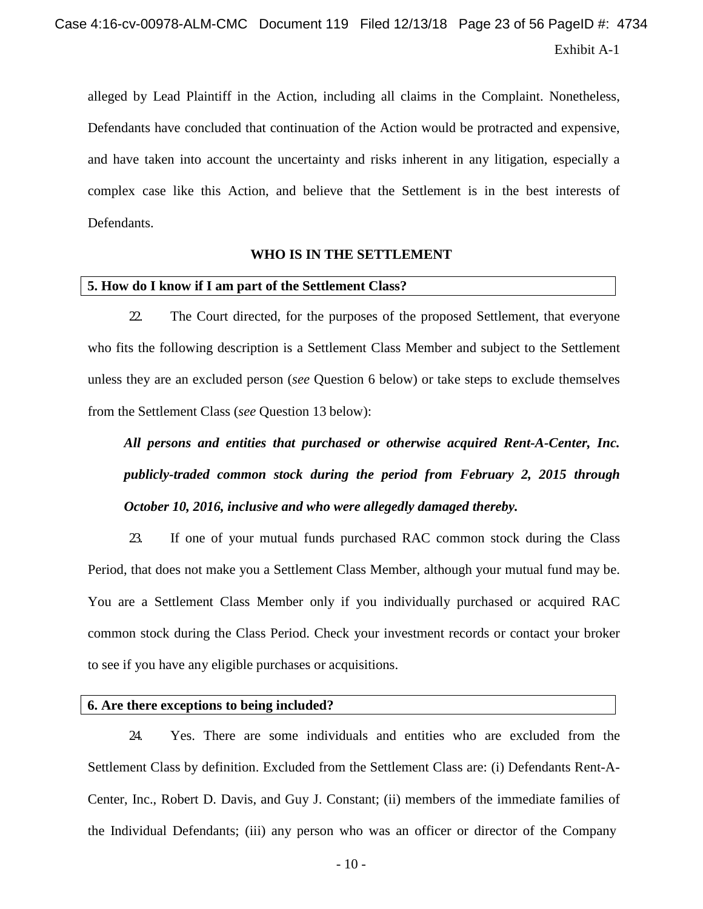alleged by Lead Plaintiff in the Action, including all claims in the Complaint. Nonetheless, Defendants have concluded that continuation of the Action would be protracted and expensive, and have taken into account the uncertainty and risks inherent in any litigation, especially a complex case like this Action, and believe that the Settlement is in the best interests of Defendants.

#### **WHO IS IN THE SETTLEMENT**

#### **5. How do I know if I am part of the Settlement Class?**

22. The Court directed, for the purposes of the proposed Settlement, that everyone who fits the following description is a Settlement Class Member and subject to the Settlement unless they are an excluded person (*see* Question 6 below) or take steps to exclude themselves from the Settlement Class (*see* Question 13 below):

*All persons and entities that purchased or otherwise acquired Rent-A-Center, Inc. publicly-traded common stock during the period from February 2, 2015 through October 10, 2016, inclusive and who were allegedly damaged thereby.*

23. If one of your mutual funds purchased RAC common stock during the Class Period, that does not make you a Settlement Class Member, although your mutual fund may be. You are a Settlement Class Member only if you individually purchased or acquired RAC common stock during the Class Period. Check your investment records or contact your broker to see if you have any eligible purchases or acquisitions.

#### **6. Are there exceptions to being included?**

24. Yes. There are some individuals and entities who are excluded from the Settlement Class by definition. Excluded from the Settlement Class are: (i) Defendants Rent-A-Center, Inc., Robert D. Davis, and Guy J. Constant; (ii) members of the immediate families of the Individual Defendants; (iii) any person who was an officer or director of the Company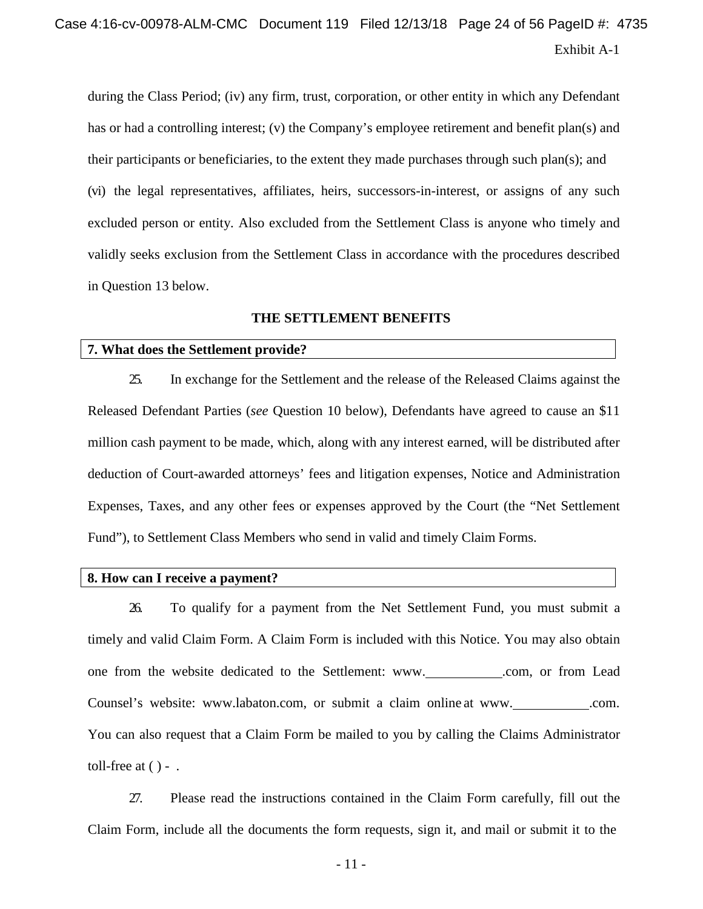# Exhibit A-1 Case 4:16-cv-00978-ALM-CMC Document 119 Filed 12/13/18 Page 24 of 56 PageID #: 4735

during the Class Period; (iv) any firm, trust, corporation, or other entity in which any Defendant has or had a controlling interest; (v) the Company's employee retirement and benefit plan(s) and their participants or beneficiaries, to the extent they made purchases through such plan(s); and (vi) the legal representatives, affiliates, heirs, successors-in-interest, or assigns of any such excluded person or entity. Also excluded from the Settlement Class is anyone who timely and validly seeks exclusion from the Settlement Class in accordance with the procedures described in Question 13 below.

#### **THE SETTLEMENT BENEFITS**

#### **7. What does the Settlement provide?**

25. In exchange for the Settlement and the release of the Released Claims against the Released Defendant Parties (*see* Question 10 below), Defendants have agreed to cause an \$11 million cash payment to be made, which, along with any interest earned, will be distributed after deduction of Court-awarded attorneys' fees and litigation expenses, Notice and Administration Expenses, Taxes, and any other fees or expenses approved by the Court (the "Net Settlement Fund"), to Settlement Class Members who send in valid and timely Claim Forms.

#### **8. How can I receive a payment?**

26. To qualify for a payment from the Net Settlement Fund, you must submit a timely and valid Claim Form. A Claim Form is included with this Notice. You may also obtain one from the website dedicated to the Settlement: [www.](http://www/)\_\_\_\_\_\_\_\_\_\_\_.com, or from Lead Counsel's website: [www.labaton.com,](http://www.labaton.com/) or submit a claim online at [www.](http://www/) \_\_\_\_\_\_\_\_\_\_.com. You can also request that a Claim Form be mailed to you by calling the Claims Administrator toll-free at  $( ) -$ .

27. Please read the instructions contained in the Claim Form carefully, fill out the Claim Form, include all the documents the form requests, sign it, and mail or submit it to the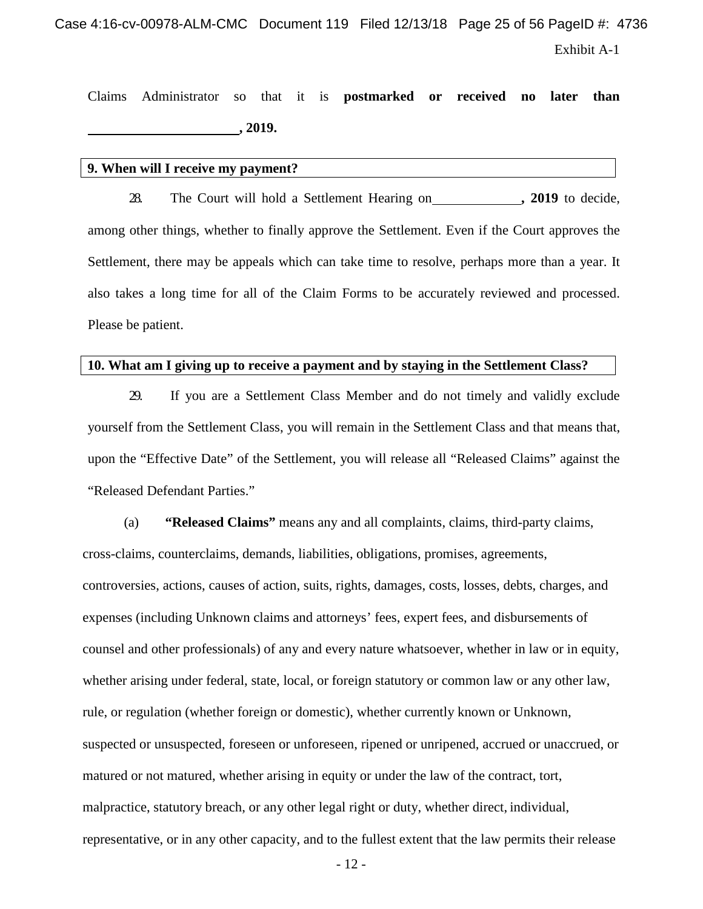Case 4:16-cv-00978-ALM-CMC Document 119 Filed 12/13/18 Page 25 of 56 PageID #: 4736

Exhibit A-1

Claims Administrator so that it is **postmarked or received no later than , 2019.**

#### **9. When will I receive my payment?**

28. The Court will hold a Settlement Hearing on **, 2019** to decide, among other things, whether to finally approve the Settlement. Even if the Court approves the Settlement, there may be appeals which can take time to resolve, perhaps more than a year. It also takes a long time for all of the Claim Forms to be accurately reviewed and processed. Please be patient.

#### **10. What am I giving up to receive a payment and by staying in the Settlement Class?**

29. If you are a Settlement Class Member and do not timely and validly exclude yourself from the Settlement Class, you will remain in the Settlement Class and that means that, upon the "Effective Date" of the Settlement, you will release all "Released Claims" against the "Released Defendant Parties."

(a) **"Released Claims"** means any and all complaints, claims, third-party claims, cross-claims, counterclaims, demands, liabilities, obligations, promises, agreements, controversies, actions, causes of action, suits, rights, damages, costs, losses, debts, charges, and expenses (including Unknown claims and attorneys' fees, expert fees, and disbursements of counsel and other professionals) of any and every nature whatsoever, whether in law or in equity, whether arising under federal, state, local, or foreign statutory or common law or any other law, rule, or regulation (whether foreign or domestic), whether currently known or Unknown, suspected or unsuspected, foreseen or unforeseen, ripened or unripened, accrued or unaccrued, or matured or not matured, whether arising in equity or under the law of the contract, tort, malpractice, statutory breach, or any other legal right or duty, whether direct, individual, representative, or in any other capacity, and to the fullest extent that the law permits their release

- 12 -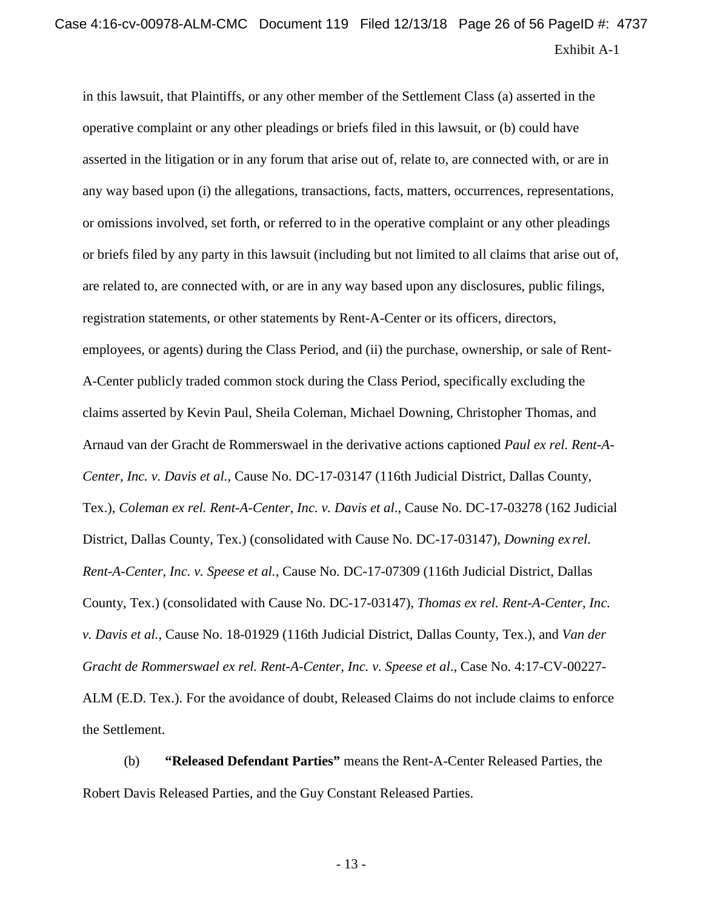in this lawsuit, that Plaintiffs, or any other member of the Settlement Class (a) asserted in the operative complaint or any other pleadings or briefs filed in this lawsuit, or (b) could have asserted in the litigation or in any forum that arise out of, relate to, are connected with, or are in any way based upon (i) the allegations, transactions, facts, matters, occurrences, representations, or omissions involved, set forth, or referred to in the operative complaint or any other pleadings or briefs filed by any party in this lawsuit (including but not limited to all claims that arise out of, are related to, are connected with, or are in any way based upon any disclosures, public filings, registration statements, or other statements by Rent-A-Center or its officers, directors, employees, or agents) during the Class Period, and (ii) the purchase, ownership, or sale of Rent-A-Center publicly traded common stock during the Class Period, specifically excluding the claims asserted by Kevin Paul, Sheila Coleman, Michael Downing, Christopher Thomas, and Arnaud van der Gracht de Rommerswael in the derivative actions captioned *Paul ex rel. Rent-A-Center, Inc. v. Davis et al.*, Cause No. DC-17-03147 (116th Judicial District, Dallas County, Tex.), *Coleman ex rel. Rent-A-Center, Inc. v. Davis et al*., Cause No. DC-17-03278 (162 Judicial District, Dallas County, Tex.) (consolidated with Cause No. DC-17-03147), *Downing ex rel. Rent-A-Center, Inc. v. Speese et al.*, Cause No. DC-17-07309 (116th Judicial District, Dallas County, Tex.) (consolidated with Cause No. DC-17-03147), *Thomas ex rel. Rent-A-Center, Inc. v. Davis et al.*, Cause No. 18-01929 (116th Judicial District, Dallas County, Tex.), and *Van der Gracht de Rommerswael ex rel. Rent-A-Center, Inc. v. Speese et al*., Case No. 4:17-CV-00227- ALM (E.D. Tex.). For the avoidance of doubt, Released Claims do not include claims to enforce the Settlement.

(b) **"Released Defendant Parties"** means the Rent-A-Center Released Parties, the Robert Davis Released Parties, and the Guy Constant Released Parties.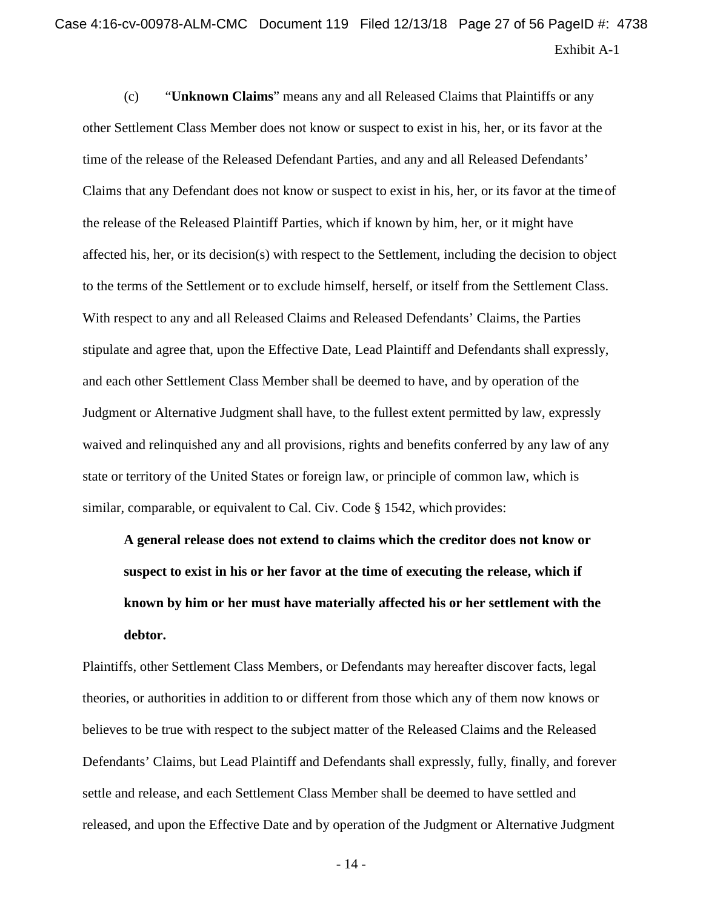(c) "**Unknown Claims**" means any and all Released Claims that Plaintiffs or any other Settlement Class Member does not know or suspect to exist in his, her, or its favor at the time of the release of the Released Defendant Parties, and any and all Released Defendants' Claims that any Defendant does not know or suspect to exist in his, her, or its favor at the timeof the release of the Released Plaintiff Parties, which if known by him, her, or it might have affected his, her, or its decision(s) with respect to the Settlement, including the decision to object to the terms of the Settlement or to exclude himself, herself, or itself from the Settlement Class. With respect to any and all Released Claims and Released Defendants' Claims, the Parties stipulate and agree that, upon the Effective Date, Lead Plaintiff and Defendants shall expressly, and each other Settlement Class Member shall be deemed to have, and by operation of the Judgment or Alternative Judgment shall have, to the fullest extent permitted by law, expressly waived and relinquished any and all provisions, rights and benefits conferred by any law of any state or territory of the United States or foreign law, or principle of common law, which is similar, comparable, or equivalent to Cal. Civ. Code § 1542, which provides:

**A general release does not extend to claims which the creditor does not know or suspect to exist in his or her favor at the time of executing the release, which if known by him or her must have materially affected his or her settlement with the debtor.**

Plaintiffs, other Settlement Class Members, or Defendants may hereafter discover facts, legal theories, or authorities in addition to or different from those which any of them now knows or believes to be true with respect to the subject matter of the Released Claims and the Released Defendants' Claims, but Lead Plaintiff and Defendants shall expressly, fully, finally, and forever settle and release, and each Settlement Class Member shall be deemed to have settled and released, and upon the Effective Date and by operation of the Judgment or Alternative Judgment

- 14 -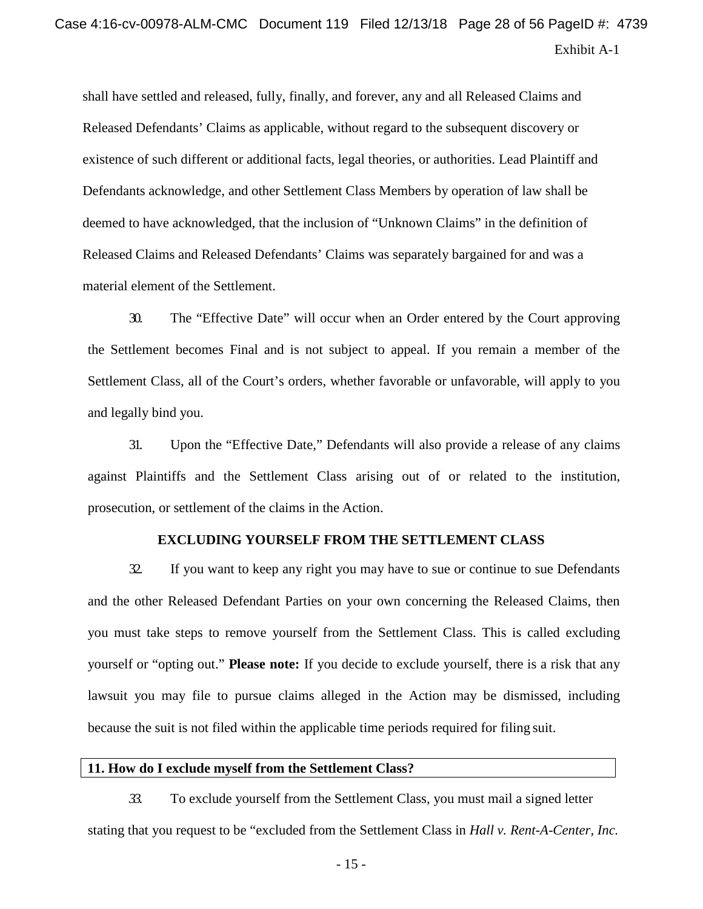shall have settled and released, fully, finally, and forever, any and all Released Claims and Released Defendants' Claims as applicable, without regard to the subsequent discovery or existence of such different or additional facts, legal theories, or authorities. Lead Plaintiff and Defendants acknowledge, and other Settlement Class Members by operation of law shall be deemed to have acknowledged, that the inclusion of "Unknown Claims" in the definition of Released Claims and Released Defendants' Claims was separately bargained for and was a material element of the Settlement.

30. The "Effective Date" will occur when an Order entered by the Court approving the Settlement becomes Final and is not subject to appeal. If you remain a member of the Settlement Class, all of the Court's orders, whether favorable or unfavorable, will apply to you and legally bind you.

31. Upon the "Effective Date," Defendants will also provide a release of any claims against Plaintiffs and the Settlement Class arising out of or related to the institution, prosecution, or settlement of the claims in the Action.

#### **EXCLUDING YOURSELF FROM THE SETTLEMENT CLASS**

32. If you want to keep any right you may have to sue or continue to sue Defendants and the other Released Defendant Parties on your own concerning the Released Claims, then you must take steps to remove yourself from the Settlement Class. This is called excluding yourself or "opting out." **Please note:** If you decide to exclude yourself, there is a risk that any lawsuit you may file to pursue claims alleged in the Action may be dismissed, including because the suit is not filed within the applicable time periods required for filing suit.

#### **11. How do I exclude myself from the Settlement Class?**

*33.* To exclude yourself from the Settlement Class, you must mail a signed letter stating that you request to be "excluded from the Settlement Class in *Hall v. Rent-A-Center, Inc.*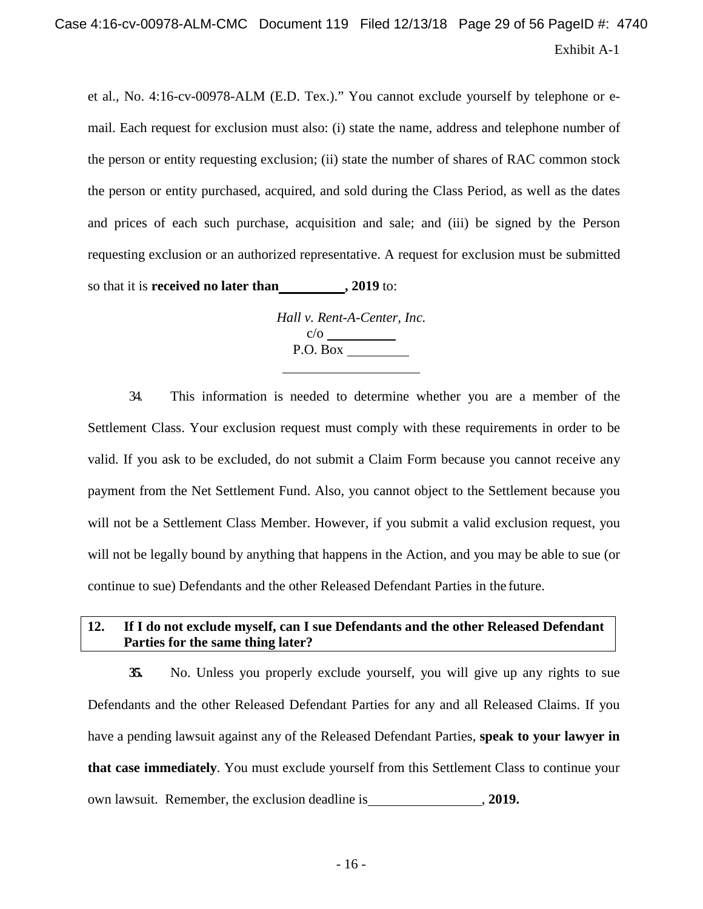et al., No. 4:16-cv-00978-ALM (E.D. Tex.)." You cannot exclude yourself by telephone or email. Each request for exclusion must also: (i) state the name, address and telephone number of the person or entity requesting exclusion; (ii) state the number of shares of RAC common stock the person or entity purchased, acquired, and sold during the Class Period, as well as the dates and prices of each such purchase, acquisition and sale; and (iii) be signed by the Person requesting exclusion or an authorized representative. A request for exclusion must be submitted so that it is **received no later than , 2019** to:

> *Hall v. Rent-A-Center, Inc.* c/o P.O. Box

34. This information is needed to determine whether you are a member of the Settlement Class. Your exclusion request must comply with these requirements in order to be valid. If you ask to be excluded, do not submit a Claim Form because you cannot receive any payment from the Net Settlement Fund. Also, you cannot object to the Settlement because you will not be a Settlement Class Member. However, if you submit a valid exclusion request, you will not be legally bound by anything that happens in the Action, and you may be able to sue (or continue to sue) Defendants and the other Released Defendant Parties in the future.

## **12. If I do not exclude myself, can I sue Defendants and the other Released Defendant Parties for the same thing later?**

**35.** No. Unless you properly exclude yourself, you will give up any rights to sue Defendants and the other Released Defendant Parties for any and all Released Claims. If you have a pending lawsuit against any of the Released Defendant Parties, **speak to your lawyer in that case immediately**. You must exclude yourself from this Settlement Class to continue your own lawsuit. Remember, the exclusion deadline is , **2019.**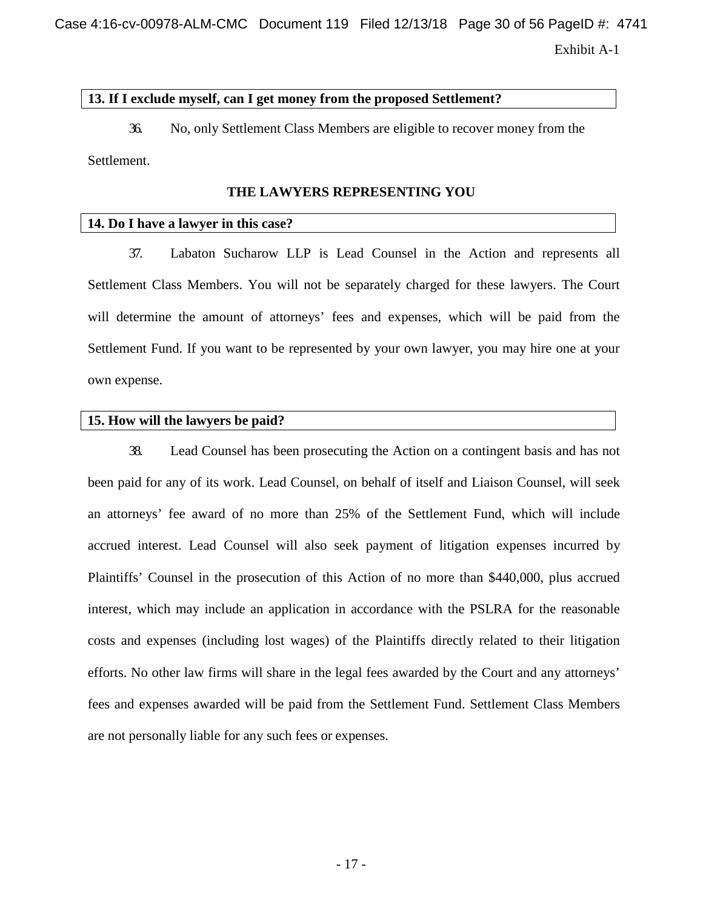Case 4:16-cv-00978-ALM-CMC Document 119 Filed 12/13/18 Page 30 of 56 PageID #: 4741

Exhibit A-1

#### **13. If I exclude myself, can I get money from the proposed Settlement?**

36. No, only Settlement Class Members are eligible to recover money from the Settlement.

#### **THE LAWYERS REPRESENTING YOU**

#### **14. Do I have a lawyer in this case?**

37. Labaton Sucharow LLP is Lead Counsel in the Action and represents all Settlement Class Members. You will not be separately charged for these lawyers. The Court will determine the amount of attorneys' fees and expenses, which will be paid from the Settlement Fund. If you want to be represented by your own lawyer, you may hire one at your own expense.

#### **15. How will the lawyers be paid?**

38. Lead Counsel has been prosecuting the Action on a contingent basis and has not been paid for any of its work. Lead Counsel, on behalf of itself and Liaison Counsel, will seek an attorneys' fee award of no more than 25% of the Settlement Fund, which will include accrued interest. Lead Counsel will also seek payment of litigation expenses incurred by Plaintiffs' Counsel in the prosecution of this Action of no more than \$440,000, plus accrued interest, which may include an application in accordance with the PSLRA for the reasonable costs and expenses (including lost wages) of the Plaintiffs directly related to their litigation efforts. No other law firms will share in the legal fees awarded by the Court and any attorneys' fees and expenses awarded will be paid from the Settlement Fund. Settlement Class Members are not personally liable for any such fees or expenses.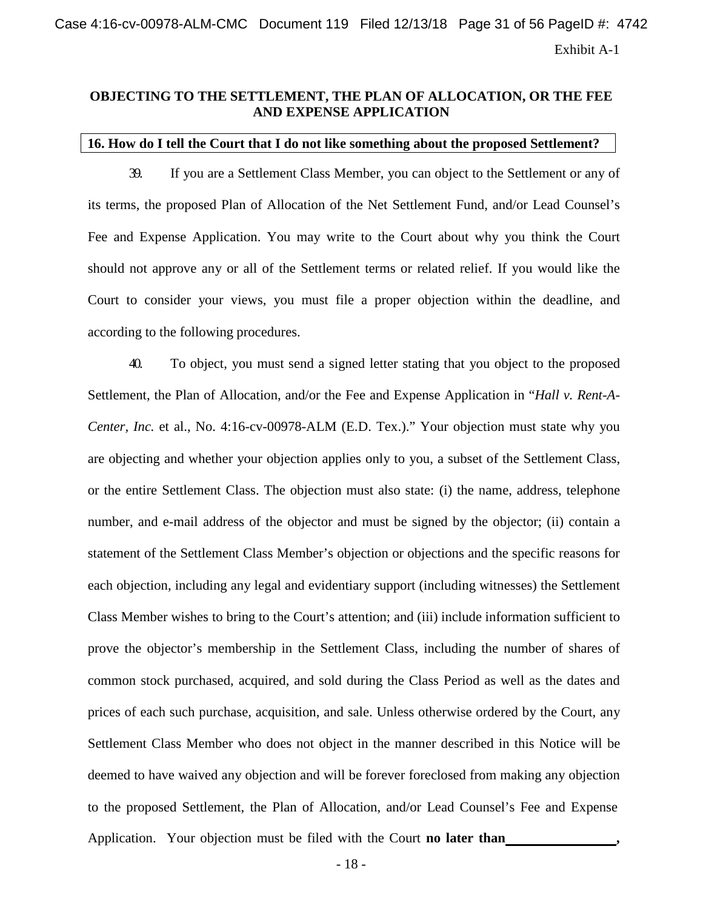## **OBJECTING TO THE SETTLEMENT, THE PLAN OF ALLOCATION, OR THE FEE AND EXPENSE APPLICATION**

#### **16. How do I tell the Court that I do not like something about the proposed Settlement?**

39. If you are a Settlement Class Member, you can object to the Settlement or any of its terms, the proposed Plan of Allocation of the Net Settlement Fund, and/or Lead Counsel's Fee and Expense Application. You may write to the Court about why you think the Court should not approve any or all of the Settlement terms or related relief. If you would like the Court to consider your views, you must file a proper objection within the deadline, and according to the following procedures.

40. To object, you must send a signed letter stating that you object to the proposed Settlement, the Plan of Allocation, and/or the Fee and Expense Application in "*Hall v. Rent-A-Center, Inc.* et al., No. 4:16-cv-00978-ALM (E.D. Tex.)." Your objection must state why you are objecting and whether your objection applies only to you, a subset of the Settlement Class, or the entire Settlement Class. The objection must also state: (i) the name, address, telephone number, and e-mail address of the objector and must be signed by the objector; (ii) contain a statement of the Settlement Class Member's objection or objections and the specific reasons for each objection, including any legal and evidentiary support (including witnesses) the Settlement Class Member wishes to bring to the Court's attention; and (iii) include information sufficient to prove the objector's membership in the Settlement Class, including the number of shares of common stock purchased, acquired, and sold during the Class Period as well as the dates and prices of each such purchase, acquisition, and sale. Unless otherwise ordered by the Court, any Settlement Class Member who does not object in the manner described in this Notice will be deemed to have waived any objection and will be forever foreclosed from making any objection to the proposed Settlement, the Plan of Allocation, and/or Lead Counsel's Fee and Expense Application. Your objection must be filed with the Court **no later than ,**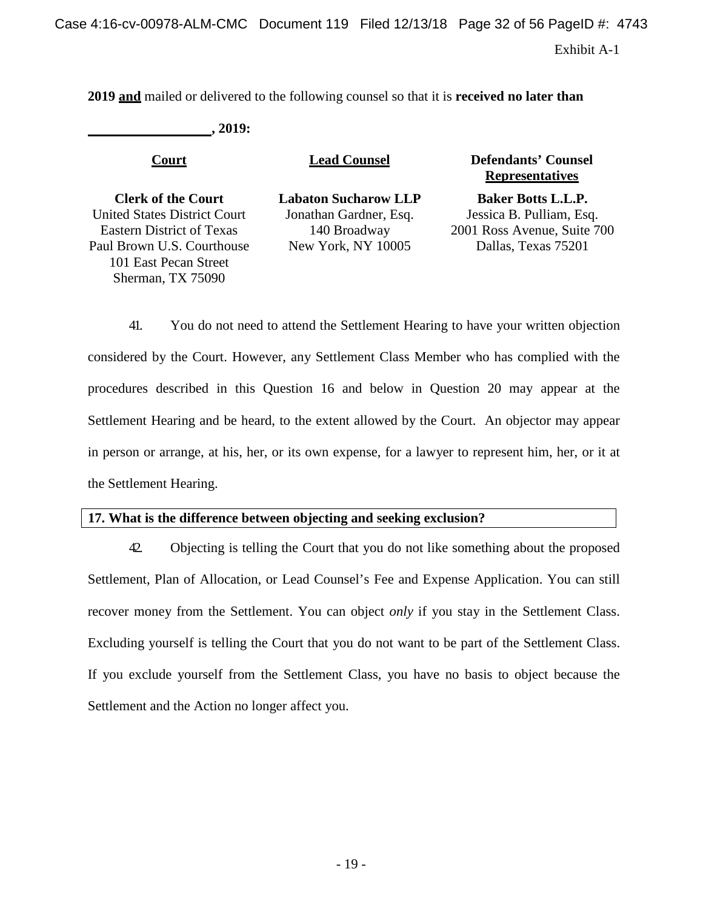Exhibit A-1

**2019 and** mailed or delivered to the following counsel so that it is **received no later than**

**, 2019:**

| <u>Court</u>                        | <b>Lead Counsel</b>         | <b>Defendants' Counsel</b><br><b>Representatives</b> |
|-------------------------------------|-----------------------------|------------------------------------------------------|
| <b>Clerk of the Court</b>           | <b>Labaton Sucharow LLP</b> | <b>Baker Botts L.L.P.</b>                            |
| <b>United States District Court</b> | Jonathan Gardner, Esq.      | Jessica B. Pulliam, Esq.                             |
| <b>Eastern District of Texas</b>    | 140 Broadway                | 2001 Ross Avenue, Suite 700                          |
| Paul Brown U.S. Courthouse          | New York, NY 10005          | Dallas, Texas 75201                                  |
| 101 East Pecan Street               |                             |                                                      |
| Sherman, TX 75090                   |                             |                                                      |

41. You do not need to attend the Settlement Hearing to have your written objection considered by the Court. However, any Settlement Class Member who has complied with the procedures described in this Question 16 and below in Question 20 may appear at the Settlement Hearing and be heard, to the extent allowed by the Court. An objector may appear in person or arrange, at his, her, or its own expense, for a lawyer to represent him, her, or it at the Settlement Hearing.

## **17. What is the difference between objecting and seeking exclusion?**

42. Objecting is telling the Court that you do not like something about the proposed Settlement, Plan of Allocation, or Lead Counsel's Fee and Expense Application. You can still recover money from the Settlement. You can object *only* if you stay in the Settlement Class. Excluding yourself is telling the Court that you do not want to be part of the Settlement Class. If you exclude yourself from the Settlement Class, you have no basis to object because the Settlement and the Action no longer affect you.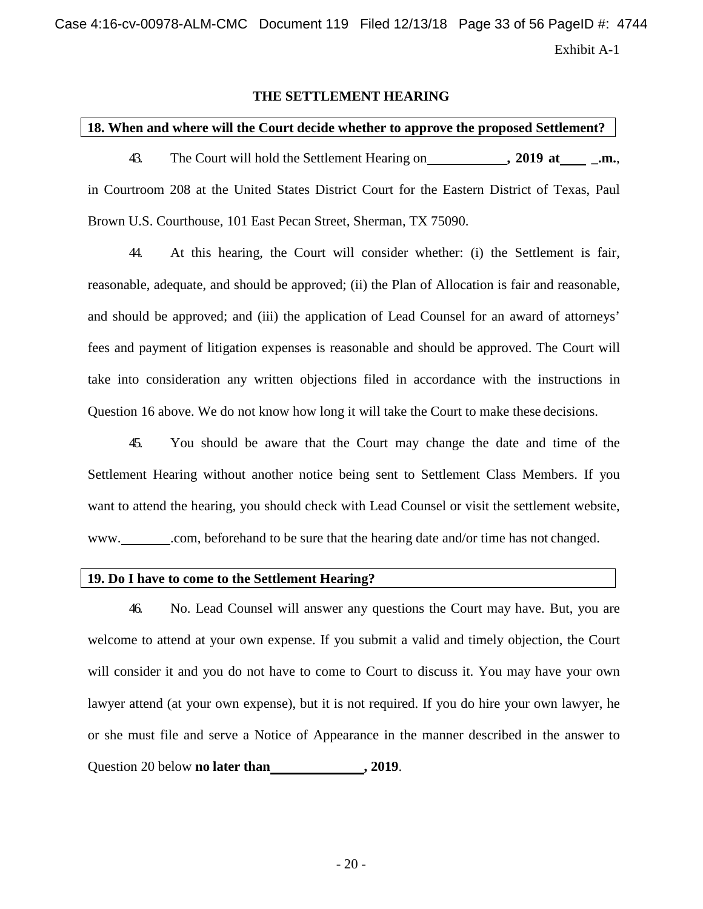Exhibit A-1 Case 4:16-cv-00978-ALM-CMC Document 119 Filed 12/13/18 Page 33 of 56 PageID #: 4744

#### **THE SETTLEMENT HEARING**

#### **18. When and where will the Court decide whether to approve the proposed Settlement?**

43. The Court will hold the Settlement Hearing on **, 2019 at .m.**, in Courtroom 208 at the United States District Court for the Eastern District of Texas, Paul Brown U.S. Courthouse, 101 East Pecan Street, Sherman, TX 75090.

44. At this hearing, the Court will consider whether: (i) the Settlement is fair, reasonable, adequate, and should be approved; (ii) the Plan of Allocation is fair and reasonable, and should be approved; and (iii) the application of Lead Counsel for an award of attorneys' fees and payment of litigation expenses is reasonable and should be approved. The Court will take into consideration any written objections filed in accordance with the instructions in Question 16 above. We do not know how long it will take the Court to make these decisions.

45. You should be aware that the Court may change the date and time of the Settlement Hearing without another notice being sent to Settlement Class Members. If you want to attend the hearing, you should check with Lead Counsel or visit the settlement website, [www.](http://www/) .com, beforehand to be sure that the hearing date and/or time has not changed.

## **19. Do I have to come to the Settlement Hearing?**

46. No. Lead Counsel will answer any questions the Court may have. But, you are welcome to attend at your own expense. If you submit a valid and timely objection, the Court will consider it and you do not have to come to Court to discuss it. You may have your own lawyer attend (at your own expense), but it is not required. If you do hire your own lawyer, he or she must file and serve a Notice of Appearance in the manner described in the answer to Question 20 below **no later than , 2019**.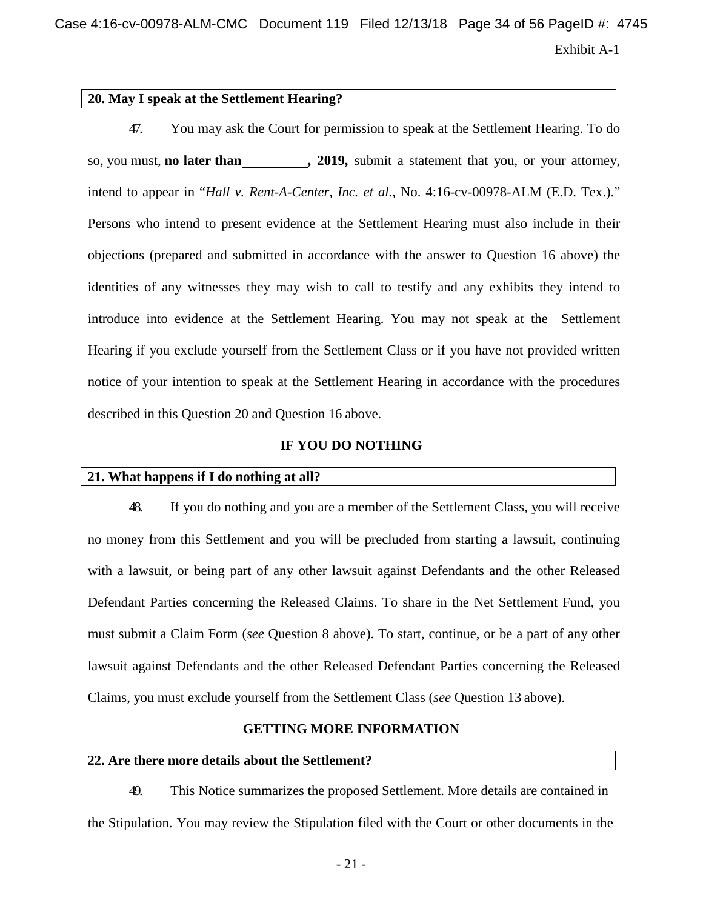Case 4:16-cv-00978-ALM-CMC Document 119 Filed 12/13/18 Page 34 of 56 PageID #: 4745

Exhibit A-1

#### **20. May I speak at the Settlement Hearing?**

47. You may ask the Court for permission to speak at the Settlement Hearing. To do so, you must, **no later than , 2019,** submit a statement that you, or your attorney, intend to appear in "*Hall v. Rent-A-Center, Inc. et al.,* No. 4:16-cv-00978-ALM (E.D. Tex.)." Persons who intend to present evidence at the Settlement Hearing must also include in their objections (prepared and submitted in accordance with the answer to Question 16 above) the identities of any witnesses they may wish to call to testify and any exhibits they intend to introduce into evidence at the Settlement Hearing. You may not speak at the Settlement Hearing if you exclude yourself from the Settlement Class or if you have not provided written notice of your intention to speak at the Settlement Hearing in accordance with the procedures described in this Question 20 and Question 16 above.

#### **IF YOU DO NOTHING**

#### **21. What happens if I do nothing at all?**

48. If you do nothing and you are a member of the Settlement Class, you will receive no money from this Settlement and you will be precluded from starting a lawsuit, continuing with a lawsuit, or being part of any other lawsuit against Defendants and the other Released Defendant Parties concerning the Released Claims. To share in the Net Settlement Fund, you must submit a Claim Form (*see* Question 8 above). To start, continue, or be a part of any other lawsuit against Defendants and the other Released Defendant Parties concerning the Released Claims, you must exclude yourself from the Settlement Class (*see* Question 13 above).

#### **GETTING MORE INFORMATION**

#### **22. Are there more details about the Settlement?**

49. This Notice summarizes the proposed Settlement. More details are contained in the Stipulation. You may review the Stipulation filed with the Court or other documents in the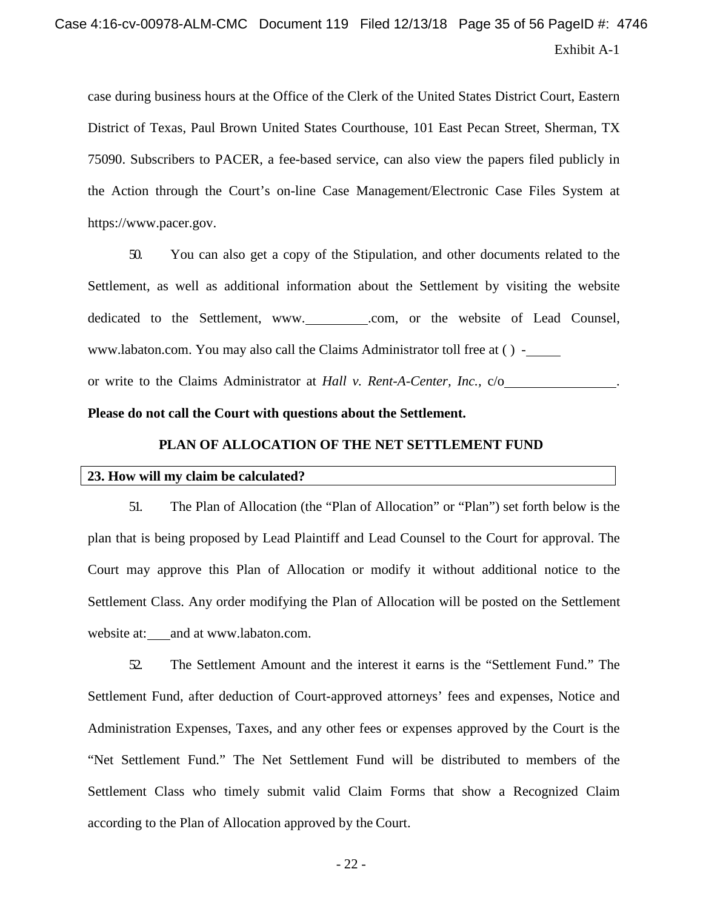# Exhibit A-1 Case 4:16-cv-00978-ALM-CMC Document 119 Filed 12/13/18 Page 35 of 56 PageID #: 4746

case during business hours at the Office of the Clerk of the United States District Court, Eastern District of Texas, Paul Brown United States Courthouse, 101 East Pecan Street, Sherman, TX 75090. Subscribers to PACER, a fee-based service, can also view the papers filed publicly in the Action through the Court's on-line Case Management/Electronic Case Files System at [https://www.pacer.gov.](http://www.pacer.gov/)

50. You can also get a copy of the Stipulation, and other documents related to the Settlement, as well as additional information about the Settlement by visiting the website dedicated to the Settlement, [www.](http://www/) \_\_\_\_\_\_\_\_\_.com[,](http://www.labaton.com/) or the website of Lead Counsel, [www.labaton.com.](http://www.labaton.com/) You may also call the Claims Administrator toll free at ( ) or write to the Claims Administrator at *Hall v. Rent-A-Center, Inc.,* c/o .

#### **Please do not call the Court with questions about the Settlement.**

#### **PLAN OF ALLOCATION OF THE NET SETTLEMENT FUND**

#### **23. How will my claim be calculated?**

51. The Plan of Allocation (the "Plan of Allocation" or "Plan") set forth below is the plan that is being proposed by Lead Plaintiff and Lead Counsel to the Court for approval. The Court may approve this Plan of Allocation or modify it without additional notice to the Settlement Class. Any order modifying the Plan of Allocation will be posted on the Settlement website at: and at [www.labaton.com.](http://www.labaton.com/)

52. The Settlement Amount and the interest it earns is the "Settlement Fund." The Settlement Fund, after deduction of Court-approved attorneys' fees and expenses, Notice and Administration Expenses, Taxes, and any other fees or expenses approved by the Court is the "Net Settlement Fund." The Net Settlement Fund will be distributed to members of the Settlement Class who timely submit valid Claim Forms that show a Recognized Claim according to the Plan of Allocation approved by the Court.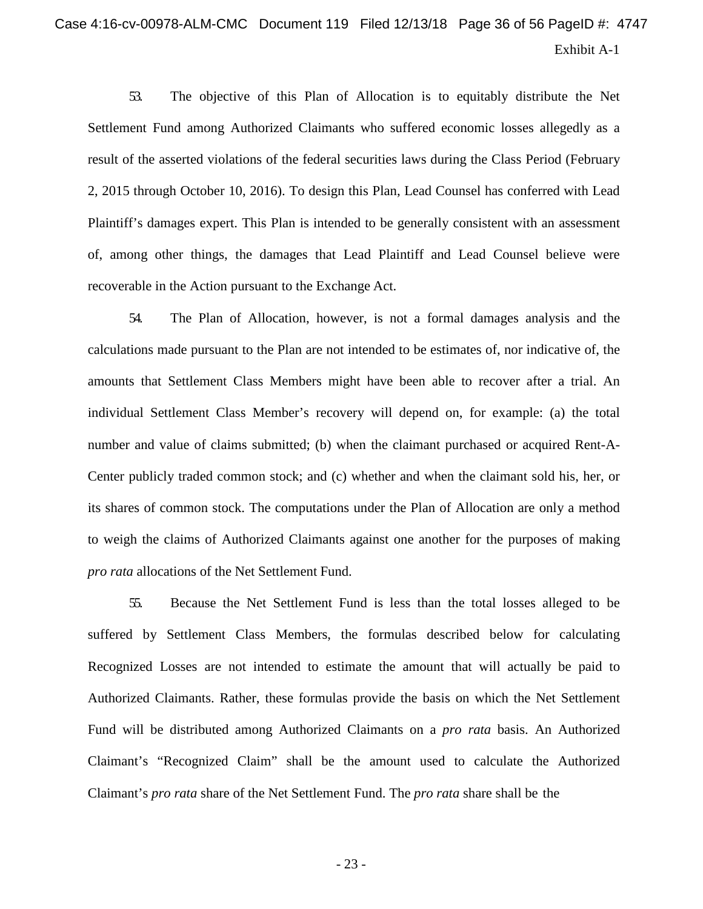# Exhibit A-1 Case 4:16-cv-00978-ALM-CMC Document 119 Filed 12/13/18 Page 36 of 56 PageID #: 4747

53. The objective of this Plan of Allocation is to equitably distribute the Net Settlement Fund among Authorized Claimants who suffered economic losses allegedly as a result of the asserted violations of the federal securities laws during the Class Period (February 2, 2015 through October 10, 2016). To design this Plan, Lead Counsel has conferred with Lead Plaintiff's damages expert. This Plan is intended to be generally consistent with an assessment of, among other things, the damages that Lead Plaintiff and Lead Counsel believe were recoverable in the Action pursuant to the Exchange Act.

54. The Plan of Allocation, however, is not a formal damages analysis and the calculations made pursuant to the Plan are not intended to be estimates of, nor indicative of, the amounts that Settlement Class Members might have been able to recover after a trial. An individual Settlement Class Member's recovery will depend on, for example: (a) the total number and value of claims submitted; (b) when the claimant purchased or acquired Rent-A-Center publicly traded common stock; and (c) whether and when the claimant sold his, her, or its shares of common stock. The computations under the Plan of Allocation are only a method to weigh the claims of Authorized Claimants against one another for the purposes of making *pro rata* allocations of the Net Settlement Fund.

55. Because the Net Settlement Fund is less than the total losses alleged to be suffered by Settlement Class Members, the formulas described below for calculating Recognized Losses are not intended to estimate the amount that will actually be paid to Authorized Claimants. Rather, these formulas provide the basis on which the Net Settlement Fund will be distributed among Authorized Claimants on a *pro rata* basis. An Authorized Claimant's "Recognized Claim" shall be the amount used to calculate the Authorized Claimant's *pro rata* share of the Net Settlement Fund. The *pro rata* share shall be the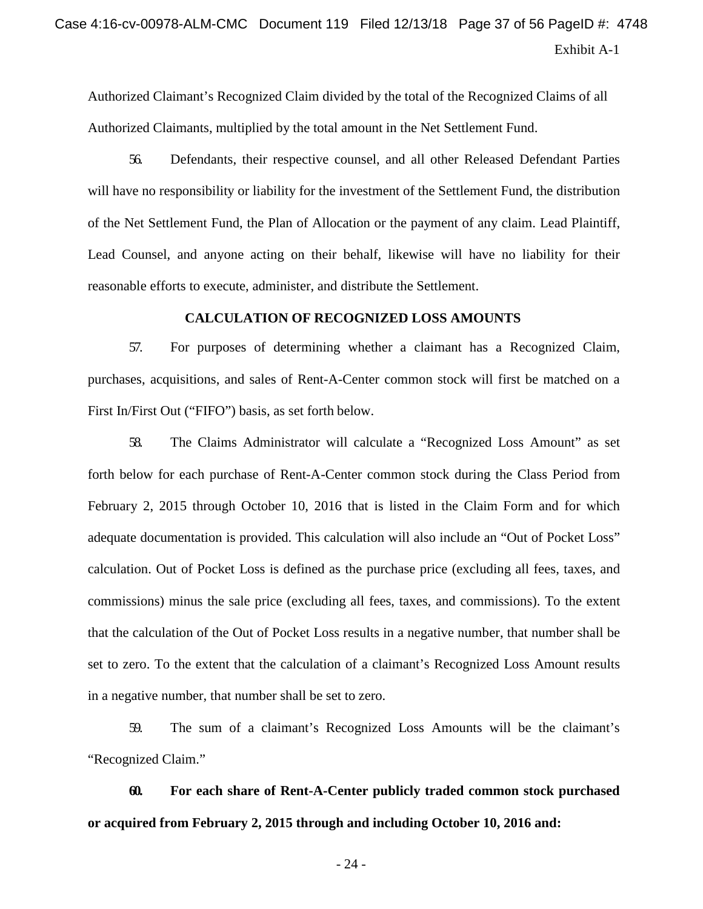# Exhibit A-1 Case 4:16-cv-00978-ALM-CMC Document 119 Filed 12/13/18 Page 37 of 56 PageID #: 4748

Authorized Claimant's Recognized Claim divided by the total of the Recognized Claims of all Authorized Claimants, multiplied by the total amount in the Net Settlement Fund.

56. Defendants, their respective counsel, and all other Released Defendant Parties will have no responsibility or liability for the investment of the Settlement Fund, the distribution of the Net Settlement Fund, the Plan of Allocation or the payment of any claim. Lead Plaintiff, Lead Counsel, and anyone acting on their behalf, likewise will have no liability for their reasonable efforts to execute, administer, and distribute the Settlement.

#### **CALCULATION OF RECOGNIZED LOSS AMOUNTS**

57. For purposes of determining whether a claimant has a Recognized Claim, purchases, acquisitions, and sales of Rent-A-Center common stock will first be matched on a First In/First Out ("FIFO") basis, as set forth below.

58. The Claims Administrator will calculate a "Recognized Loss Amount" as set forth below for each purchase of Rent-A-Center common stock during the Class Period from February 2, 2015 through October 10, 2016 that is listed in the Claim Form and for which adequate documentation is provided. This calculation will also include an "Out of Pocket Loss" calculation. Out of Pocket Loss is defined as the purchase price (excluding all fees, taxes, and commissions) minus the sale price (excluding all fees, taxes, and commissions). To the extent that the calculation of the Out of Pocket Loss results in a negative number, that number shall be set to zero. To the extent that the calculation of a claimant's Recognized Loss Amount results in a negative number, that number shall be set to zero.

59. The sum of a claimant's Recognized Loss Amounts will be the claimant's "Recognized Claim."

**60. For each share of Rent-A-Center publicly traded common stock purchased or acquired from February 2, 2015 through and including October 10, 2016 and:**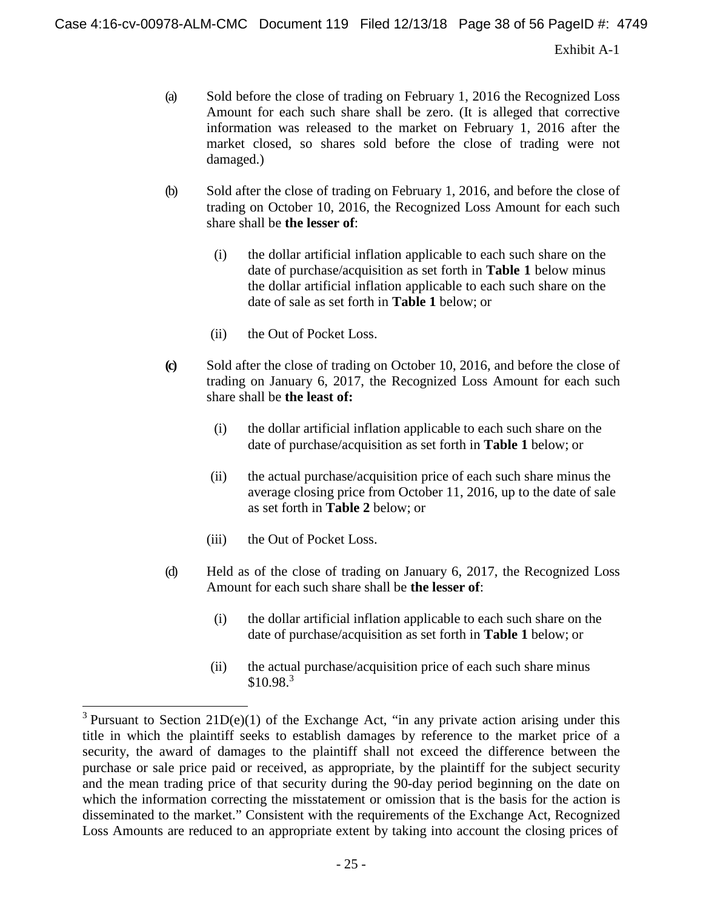Exhibit A-1

- (a) Sold before the close of trading on February 1, 2016 the Recognized Loss Amount for each such share shall be zero. (It is alleged that corrective information was released to the market on February 1, 2016 after the market closed, so shares sold before the close of trading were not damaged.)
- (b) Sold after the close of trading on February 1, 2016, and before the close of trading on October 10, 2016, the Recognized Loss Amount for each such share shall be **the lesser of**:
	- (i) the dollar artificial inflation applicable to each such share on the date of purchase/acquisition as set forth in **Table 1** below minus the dollar artificial inflation applicable to each such share on the date of sale as set forth in **Table 1** below; or
	- (ii) the Out of Pocket Loss.
- **(c)** Sold after the close of trading on October 10, 2016, and before the close of trading on January 6, 2017, the Recognized Loss Amount for each such share shall be **the least of:**
	- (i) the dollar artificial inflation applicable to each such share on the date of purchase/acquisition as set forth in **Table 1** below; or
	- (ii) the actual purchase/acquisition price of each such share minus the average closing price from October 11, 2016, up to the date of sale as set forth in **Table 2** below; or
	- (iii) the Out of Pocket Loss.
- (d) Held as of the close of trading on January 6, 2017, the Recognized Loss Amount for each such share shall be **the lesser of**:
	- (i) the dollar artificial inflation applicable to each such share on the date of purchase/acquisition as set forth in **Table 1** below; or
	- (ii) the actual purchase/acquisition price of each such share minus  $$10.98<sup>3</sup>$

<sup>&</sup>lt;sup>3</sup> Pursuant to Section 21D(e)(1) of the Exchange Act, "in any private action arising under this title in which the plaintiff seeks to establish damages by reference to the market price of a security, the award of damages to the plaintiff shall not exceed the difference between the purchase or sale price paid or received, as appropriate, by the plaintiff for the subject security and the mean trading price of that security during the 90-day period beginning on the date on which the information correcting the misstatement or omission that is the basis for the action is disseminated to the market." Consistent with the requirements of the Exchange Act, Recognized Loss Amounts are reduced to an appropriate extent by taking into account the closing prices of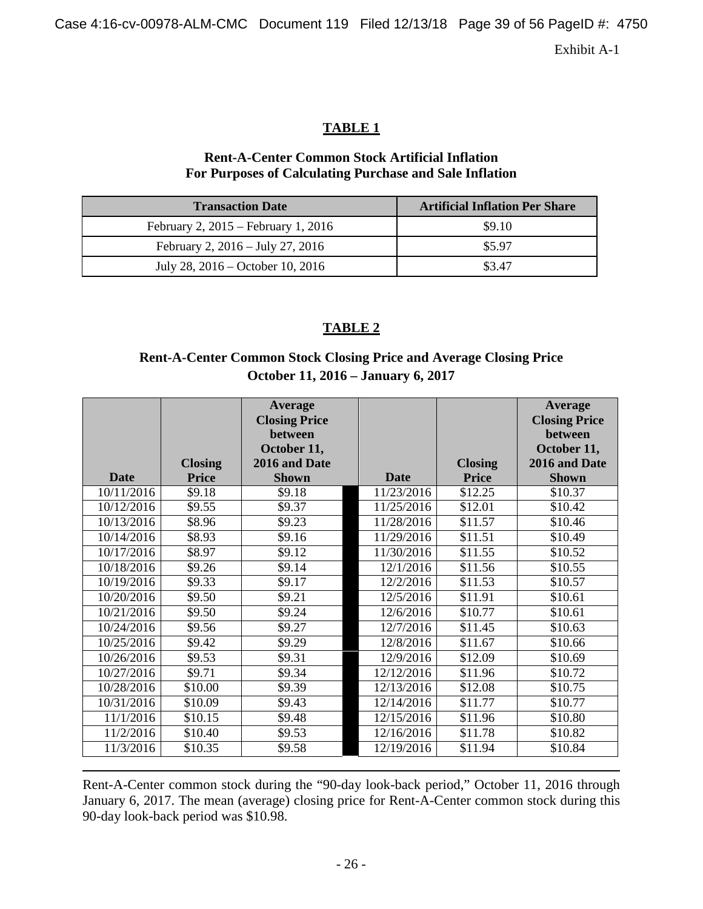Case 4:16-cv-00978-ALM-CMC Document 119 Filed 12/13/18 Page 39 of 56 PageID #: 4750

Exhibit A-1

## **TABLE 1**

## **Rent-A-Center Common Stock Artificial Inflation For Purposes of Calculating Purchase and Sale Inflation**

| <b>Transaction Date</b>                 | <b>Artificial Inflation Per Share</b> |
|-----------------------------------------|---------------------------------------|
| February 2, $2015$ – February 1, $2016$ | \$9.10                                |
| February 2, 2016 – July 27, 2016        | \$5.97                                |
| July 28, 2016 – October 10, 2016        | \$3.47                                |

## **TABLE 2**

# **Rent-A-Center Common Stock Closing Price and Average Closing Price October 11, 2016 – January 6, 2017**

|             | <b>Closing</b> | <b>Average</b><br><b>Closing Price</b><br>between<br>October 11,<br>2016 and Date |             | <b>Closing</b>      | Average<br><b>Closing Price</b><br>between<br>October 11,<br>2016 and Date |
|-------------|----------------|-----------------------------------------------------------------------------------|-------------|---------------------|----------------------------------------------------------------------------|
| <b>Date</b> | <b>Price</b>   | <b>Shown</b>                                                                      | <b>Date</b> | <b>Price</b>        | <b>Shown</b>                                                               |
| 10/11/2016  | \$9.18         | \$9.18                                                                            | 11/23/2016  | \$12.25             | \$10.37                                                                    |
| 10/12/2016  | \$9.55         | \$9.37                                                                            | 11/25/2016  | \$12.01             | \$10.42                                                                    |
| 10/13/2016  | \$8.96         | \$9.23                                                                            | 11/28/2016  | \$11.57             | \$10.46                                                                    |
| 10/14/2016  | \$8.93         | \$9.16                                                                            | 11/29/2016  | \$11.51             | \$10.49                                                                    |
| 10/17/2016  | \$8.97         | \$9.12                                                                            | 11/30/2016  | $\overline{$11.55}$ | \$10.52                                                                    |
| 10/18/2016  | \$9.26         | \$9.14                                                                            | 12/1/2016   | \$11.56             | \$10.55                                                                    |
| 10/19/2016  | \$9.33         | \$9.17                                                                            | 12/2/2016   | \$11.53             | \$10.57                                                                    |
| 10/20/2016  | \$9.50         | \$9.21                                                                            | 12/5/2016   | \$11.91             | \$10.61                                                                    |
| 10/21/2016  | \$9.50         | \$9.24                                                                            | 12/6/2016   | \$10.77             | \$10.61                                                                    |
| 10/24/2016  | \$9.56         | \$9.27                                                                            | 12/7/2016   | \$11.45             | \$10.63                                                                    |
| 10/25/2016  | \$9.42         | \$9.29                                                                            | 12/8/2016   | \$11.67             | \$10.66                                                                    |
| 10/26/2016  | \$9.53         | \$9.31                                                                            | 12/9/2016   | \$12.09             | \$10.69                                                                    |
| 10/27/2016  | \$9.71         | \$9.34                                                                            | 12/12/2016  | \$11.96             | \$10.72                                                                    |
| 10/28/2016  | \$10.00        | \$9.39                                                                            | 12/13/2016  | \$12.08             | \$10.75                                                                    |
| 10/31/2016  | \$10.09        | \$9.43                                                                            | 12/14/2016  | \$11.77             | \$10.77                                                                    |
| 11/1/2016   | \$10.15        | \$9.48                                                                            | 12/15/2016  | \$11.96             | \$10.80                                                                    |
| 11/2/2016   | \$10.40        | \$9.53                                                                            | 12/16/2016  | \$11.78             | \$10.82                                                                    |
| 11/3/2016   | \$10.35        | \$9.58                                                                            | 12/19/2016  | \$11.94             | \$10.84                                                                    |

Rent-A-Center common stock during the "90-day look-back period," October 11, 2016 through January 6, 2017. The mean (average) closing price for Rent-A-Center common stock during this 90-day look-back period was \$10.98.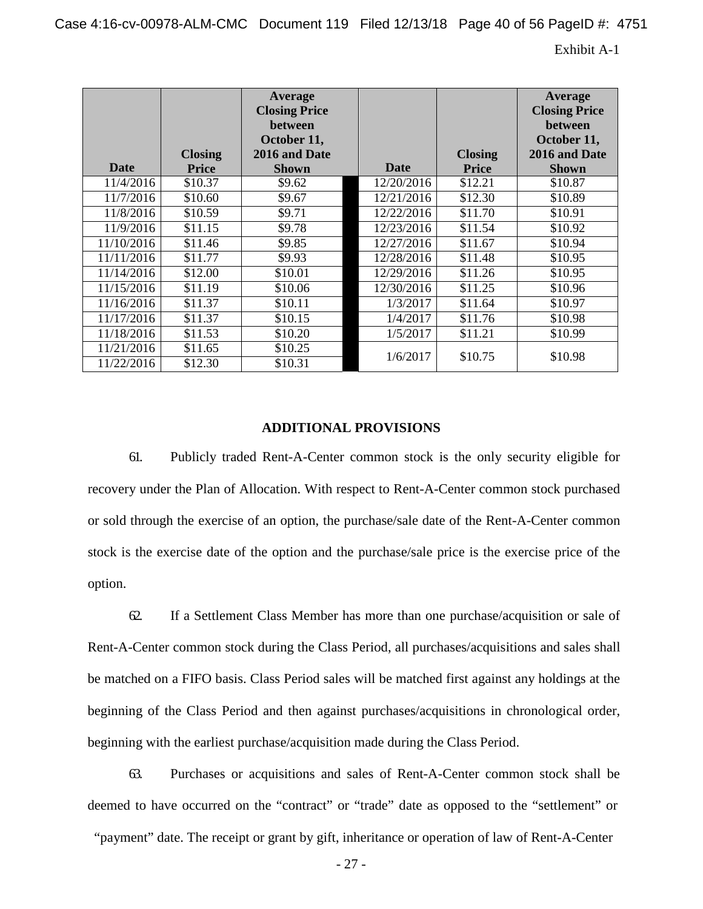Case 4:16-cv-00978-ALM-CMC Document 119 Filed 12/13/18 Page 40 of 56 PageID #: 4751

Exhibit A-1

| <b>Date</b> | <b>Closing</b><br><b>Price</b> | Average<br><b>Closing Price</b><br>between<br>October 11,<br>2016 and Date<br><b>Shown</b> | <b>Date</b> | <b>Closing</b><br><b>Price</b> | Average<br><b>Closing Price</b><br><b>between</b><br>October 11,<br>2016 and Date<br><b>Shown</b> |
|-------------|--------------------------------|--------------------------------------------------------------------------------------------|-------------|--------------------------------|---------------------------------------------------------------------------------------------------|
| 11/4/2016   | \$10.37                        | \$9.62                                                                                     | 12/20/2016  | \$12.21                        | \$10.87                                                                                           |
| 11/7/2016   | \$10.60                        | \$9.67                                                                                     | 12/21/2016  | \$12.30                        | \$10.89                                                                                           |
| 11/8/2016   | \$10.59                        | \$9.71                                                                                     | 12/22/2016  | \$11.70                        | \$10.91                                                                                           |
| 11/9/2016   | \$11.15                        | \$9.78                                                                                     | 12/23/2016  | \$11.54                        | \$10.92                                                                                           |
| 11/10/2016  | \$11.46                        | \$9.85                                                                                     | 12/27/2016  | \$11.67                        | \$10.94                                                                                           |
| 11/11/2016  | \$11.77                        | \$9.93                                                                                     | 12/28/2016  | \$11.48                        | \$10.95                                                                                           |
| 11/14/2016  | \$12.00                        | \$10.01                                                                                    | 12/29/2016  | \$11.26                        | \$10.95                                                                                           |
| 11/15/2016  | \$11.19                        | \$10.06                                                                                    | 12/30/2016  | \$11.25                        | \$10.96                                                                                           |
| 11/16/2016  | \$11.37                        | \$10.11                                                                                    | 1/3/2017    | \$11.64                        | \$10.97                                                                                           |
| 11/17/2016  | \$11.37                        | \$10.15                                                                                    | 1/4/2017    | \$11.76                        | \$10.98                                                                                           |
| 11/18/2016  | \$11.53                        | \$10.20                                                                                    | 1/5/2017    | \$11.21                        | \$10.99                                                                                           |
| 11/21/2016  | \$11.65                        | \$10.25                                                                                    |             |                                |                                                                                                   |
| 11/22/2016  | \$12.30                        | \$10.31                                                                                    | 1/6/2017    | \$10.75                        | \$10.98                                                                                           |

#### **ADDITIONAL PROVISIONS**

61. Publicly traded Rent-A-Center common stock is the only security eligible for recovery under the Plan of Allocation. With respect to Rent-A-Center common stock purchased or sold through the exercise of an option, the purchase/sale date of the Rent-A-Center common stock is the exercise date of the option and the purchase/sale price is the exercise price of the option.

62. If a Settlement Class Member has more than one purchase/acquisition or sale of Rent-A-Center common stock during the Class Period, all purchases/acquisitions and sales shall be matched on a FIFO basis. Class Period sales will be matched first against any holdings at the beginning of the Class Period and then against purchases/acquisitions in chronological order, beginning with the earliest purchase/acquisition made during the Class Period.

63. Purchases or acquisitions and sales of Rent-A-Center common stock shall be deemed to have occurred on the "contract" or "trade" date as opposed to the "settlement" or

"payment" date. The receipt or grant by gift, inheritance or operation of law of Rent-A-Center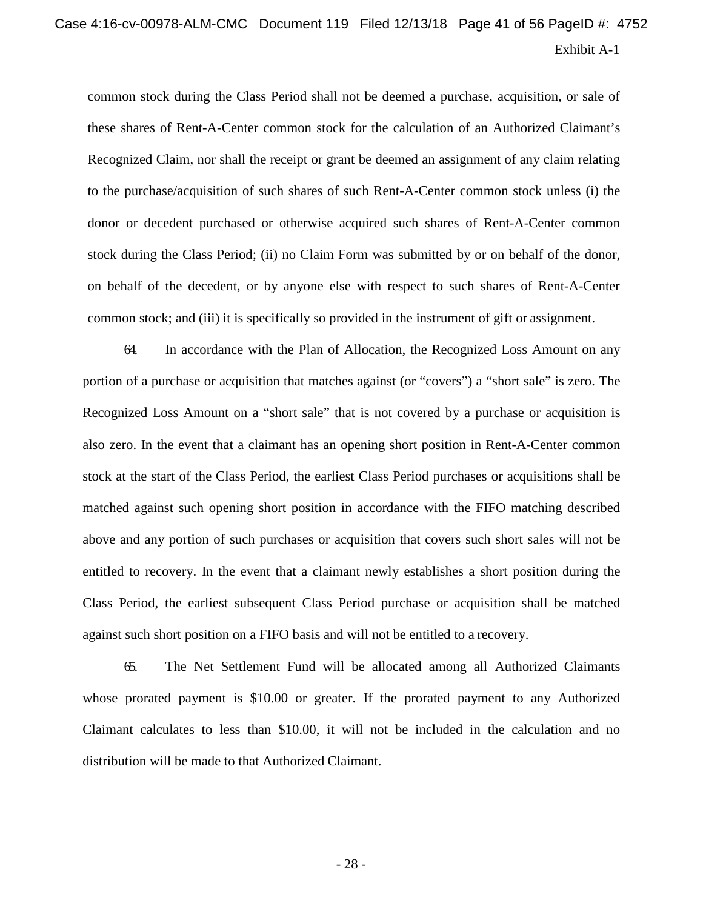# Exhibit A-1 Case 4:16-cv-00978-ALM-CMC Document 119 Filed 12/13/18 Page 41 of 56 PageID #: 4752

common stock during the Class Period shall not be deemed a purchase, acquisition, or sale of these shares of Rent-A-Center common stock for the calculation of an Authorized Claimant's Recognized Claim, nor shall the receipt or grant be deemed an assignment of any claim relating to the purchase/acquisition of such shares of such Rent-A-Center common stock unless (i) the donor or decedent purchased or otherwise acquired such shares of Rent-A-Center common stock during the Class Period; (ii) no Claim Form was submitted by or on behalf of the donor, on behalf of the decedent, or by anyone else with respect to such shares of Rent-A-Center common stock; and (iii) it is specifically so provided in the instrument of gift or assignment.

64. In accordance with the Plan of Allocation, the Recognized Loss Amount on any portion of a purchase or acquisition that matches against (or "covers") a "short sale" is zero. The Recognized Loss Amount on a "short sale" that is not covered by a purchase or acquisition is also zero. In the event that a claimant has an opening short position in Rent-A-Center common stock at the start of the Class Period, the earliest Class Period purchases or acquisitions shall be matched against such opening short position in accordance with the FIFO matching described above and any portion of such purchases or acquisition that covers such short sales will not be entitled to recovery. In the event that a claimant newly establishes a short position during the Class Period, the earliest subsequent Class Period purchase or acquisition shall be matched against such short position on a FIFO basis and will not be entitled to a recovery.

65. The Net Settlement Fund will be allocated among all Authorized Claimants whose prorated payment is \$10.00 or greater. If the prorated payment to any Authorized Claimant calculates to less than \$10.00, it will not be included in the calculation and no distribution will be made to that Authorized Claimant.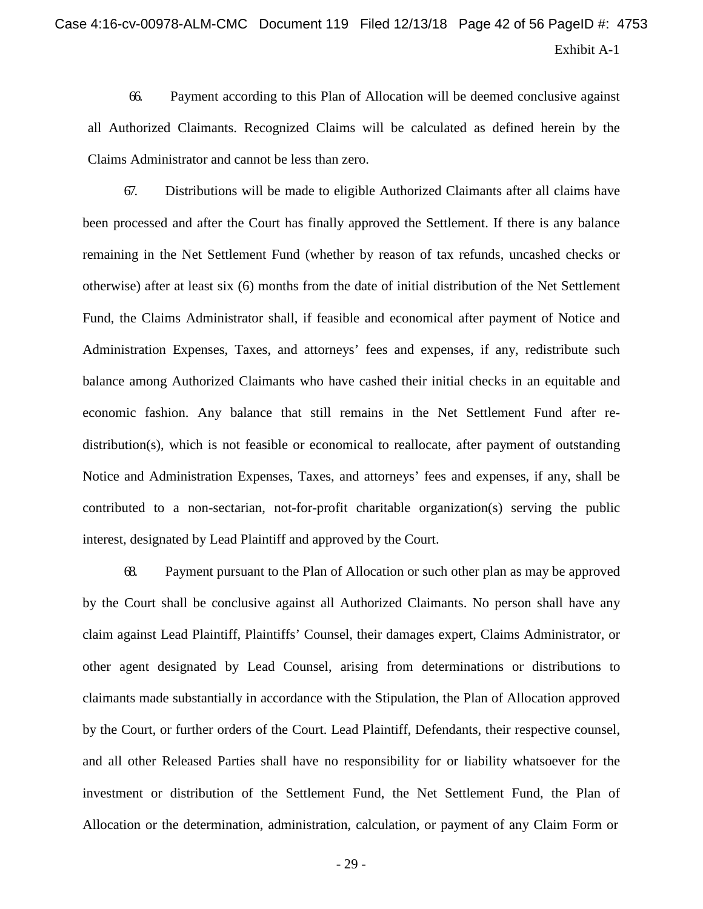# Exhibit A-1 Case 4:16-cv-00978-ALM-CMC Document 119 Filed 12/13/18 Page 42 of 56 PageID #: 4753

66. Payment according to this Plan of Allocation will be deemed conclusive against all Authorized Claimants. Recognized Claims will be calculated as defined herein by the Claims Administrator and cannot be less than zero.

67. Distributions will be made to eligible Authorized Claimants after all claims have been processed and after the Court has finally approved the Settlement. If there is any balance remaining in the Net Settlement Fund (whether by reason of tax refunds, uncashed checks or otherwise) after at least six (6) months from the date of initial distribution of the Net Settlement Fund, the Claims Administrator shall, if feasible and economical after payment of Notice and Administration Expenses, Taxes, and attorneys' fees and expenses, if any, redistribute such balance among Authorized Claimants who have cashed their initial checks in an equitable and economic fashion. Any balance that still remains in the Net Settlement Fund after redistribution(s), which is not feasible or economical to reallocate, after payment of outstanding Notice and Administration Expenses, Taxes, and attorneys' fees and expenses, if any, shall be contributed to a non-sectarian, not-for-profit charitable organization(s) serving the public interest, designated by Lead Plaintiff and approved by the Court.

68. Payment pursuant to the Plan of Allocation or such other plan as may be approved by the Court shall be conclusive against all Authorized Claimants. No person shall have any claim against Lead Plaintiff, Plaintiffs' Counsel, their damages expert, Claims Administrator, or other agent designated by Lead Counsel, arising from determinations or distributions to claimants made substantially in accordance with the Stipulation, the Plan of Allocation approved by the Court, or further orders of the Court. Lead Plaintiff, Defendants, their respective counsel, and all other Released Parties shall have no responsibility for or liability whatsoever for the investment or distribution of the Settlement Fund, the Net Settlement Fund, the Plan of Allocation or the determination, administration, calculation, or payment of any Claim Form or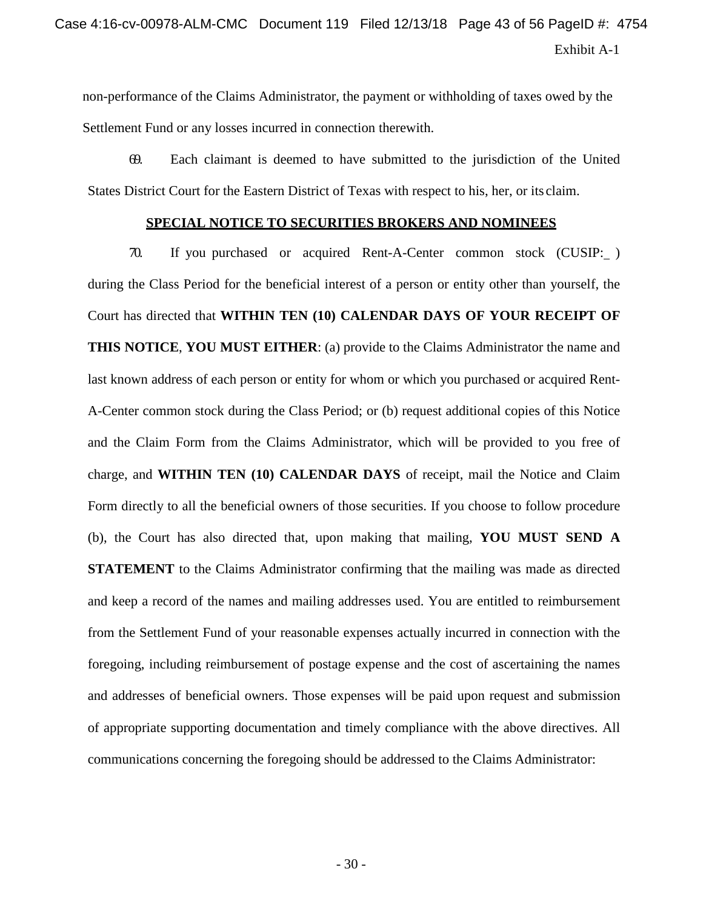non-performance of the Claims Administrator, the payment or withholding of taxes owed by the Settlement Fund or any losses incurred in connection therewith.

69. Each claimant is deemed to have submitted to the jurisdiction of the United States District Court for the Eastern District of Texas with respect to his, her, or its claim.

#### **SPECIAL NOTICE TO SECURITIES BROKERS AND NOMINEES**

70. If you purchased or acquired Rent-A-Center common stock (CUSIP: ) during the Class Period for the beneficial interest of a person or entity other than yourself, the Court has directed that **WITHIN TEN (10) CALENDAR DAYS OF YOUR RECEIPT OF THIS NOTICE**, **YOU MUST EITHER**: (a) provide to the Claims Administrator the name and last known address of each person or entity for whom or which you purchased or acquired Rent-A-Center common stock during the Class Period; or (b) request additional copies of this Notice and the Claim Form from the Claims Administrator, which will be provided to you free of charge, and **WITHIN TEN (10) CALENDAR DAYS** of receipt, mail the Notice and Claim Form directly to all the beneficial owners of those securities. If you choose to follow procedure (b), the Court has also directed that, upon making that mailing, **YOU MUST SEND A STATEMENT** to the Claims Administrator confirming that the mailing was made as directed and keep a record of the names and mailing addresses used. You are entitled to reimbursement from the Settlement Fund of your reasonable expenses actually incurred in connection with the foregoing, including reimbursement of postage expense and the cost of ascertaining the names and addresses of beneficial owners. Those expenses will be paid upon request and submission of appropriate supporting documentation and timely compliance with the above directives. All communications concerning the foregoing should be addressed to the Claims Administrator: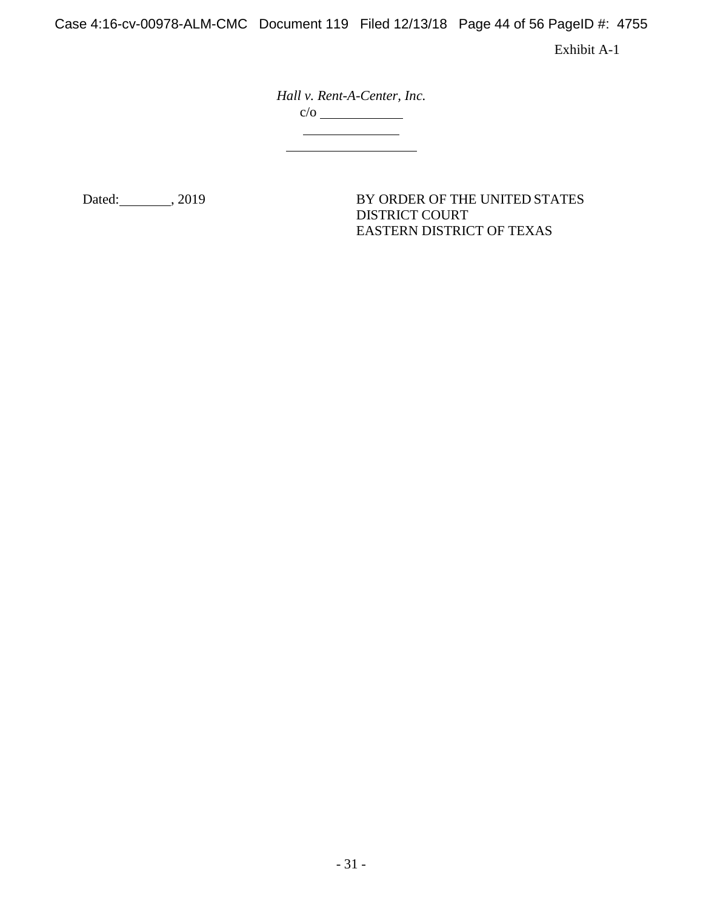Case 4:16-cv-00978-ALM-CMC Document 119 Filed 12/13/18 Page 44 of 56 PageID #: 4755

Exhibit A-1

*Hall v. Rent-A-Center, Inc.*  $\frac{c/o}$ 

Dated: 3019 (2019) BY ORDER OF THE UNITED STATES DISTRICT COURT EASTERN DISTRICT OF TEXAS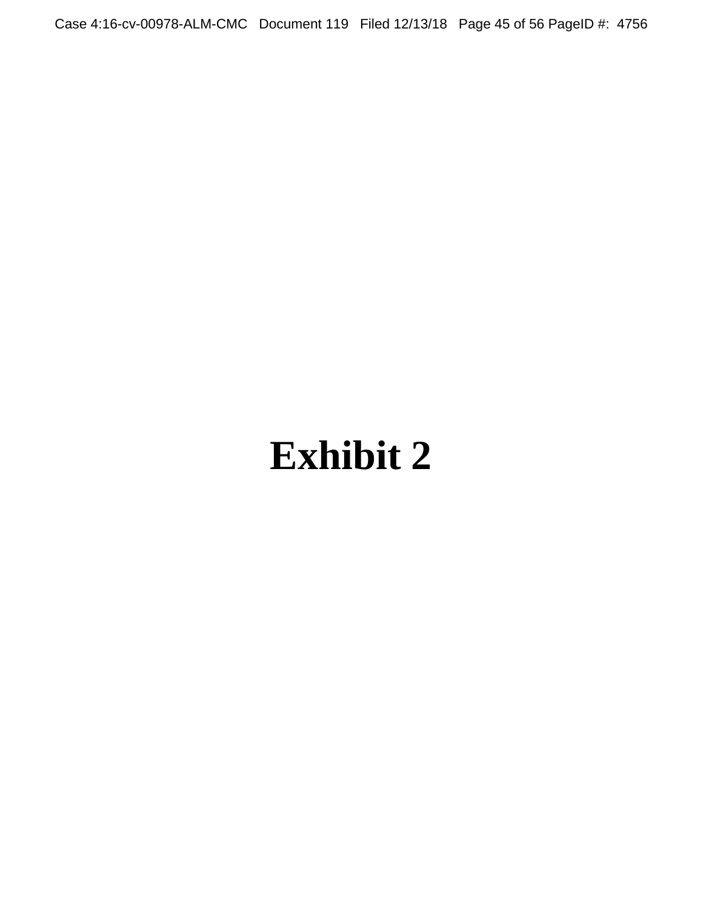Case 4:16-cv-00978-ALM-CMC Document 119 Filed 12/13/18 Page 45 of 56 PageID #: 4756

# **Exhibit 2**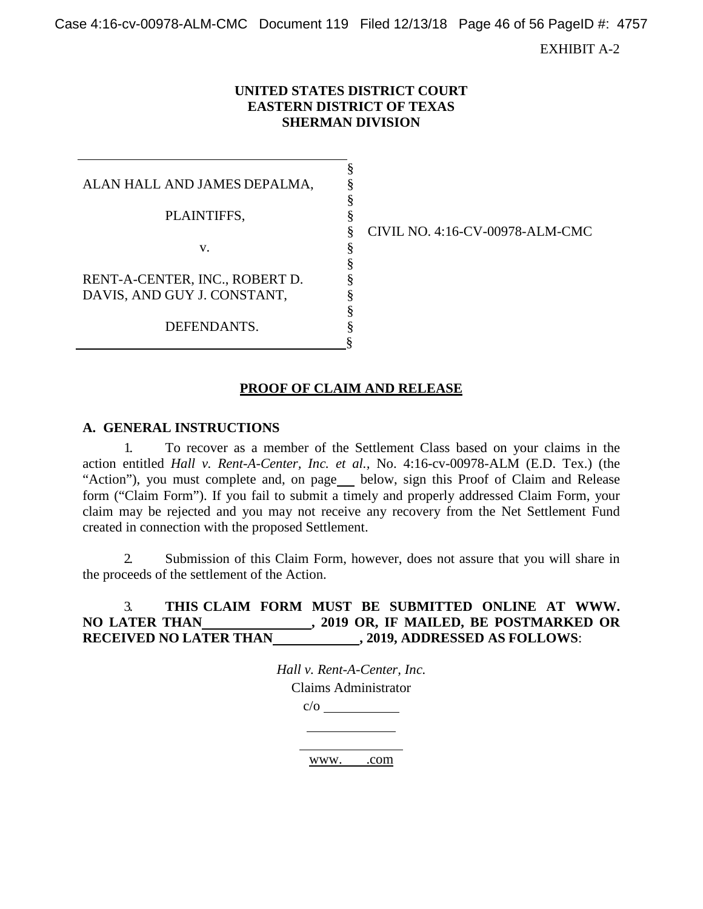Case 4:16-cv-00978-ALM-CMC Document 119 Filed 12/13/18 Page 46 of 56 PageID #: 4757

EXHIBIT A-2

#### **UNITED STATES DISTRICT COURT EASTERN DISTRICT OF TEXAS SHERMAN DIVISION**

§ § § §

§ § § § § § §

ALAN HALL AND JAMES DEPALMA, PLAINTIFFS, v. RENT-A-CENTER, INC., ROBERT D. DAVIS, AND GUY J. CONSTANT, DEFENDANTS.

§ CIVIL NO. 4:16-CV-00978-ALM-CMC

## **PROOF OF CLAIM AND RELEASE**

#### **A. GENERAL INSTRUCTIONS**

1. To recover as a member of the Settlement Class based on your claims in the action entitled *Hall v. Rent-A-Center, Inc. et al.,* No. 4:16-cv-00978-ALM (E.D. Tex.) (the "Action"), you must complete and, on page below, sign this Proof of Claim and Release form ("Claim Form"). If you fail to submit a timely and properly addressed Claim Form, your claim may be rejected and you may not receive any recovery from the Net Settlement Fund created in connection with the proposed Settlement.

2. Submission of this Claim Form, however, does not assure that you will share in the proceeds of the settlement of the Action.

## 3. **THIS CLAIM FORM MUST BE SUBMITTED ONLINE AT [WWW.](http://www/) NO LATER THAN , 2019 OR, IF MAILED, BE POSTMARKED OR RECEIVED NO LATER THAN , 2019, ADDRESSED AS FOLLOWS**:

*Hall v. Rent-A-Center, Inc.* Claims Administrator  $c/o$ 

www. .com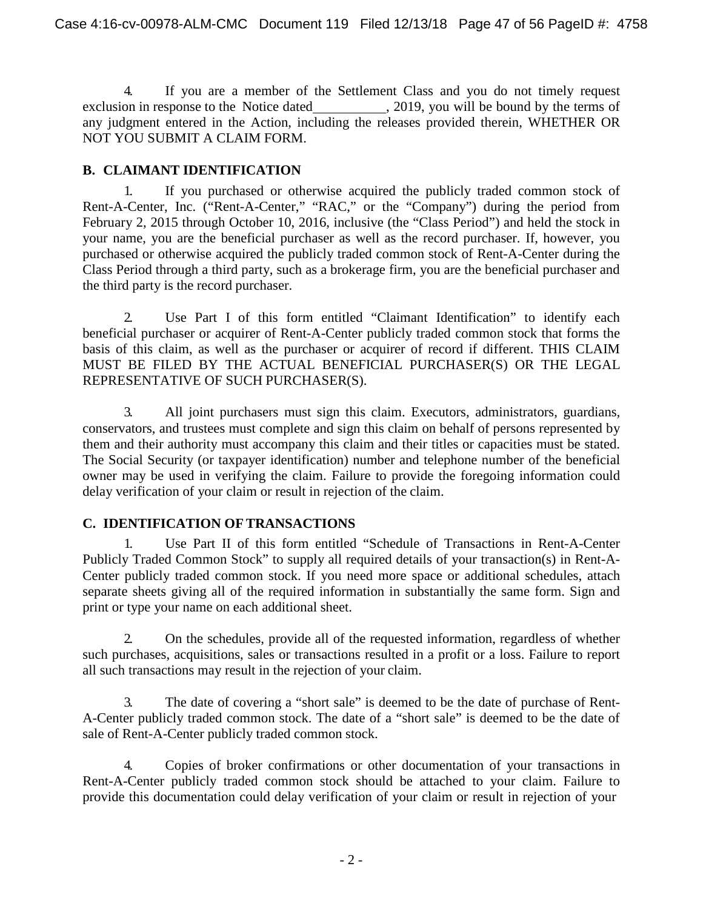4. If you are a member of the Settlement Class and you do not timely request exclusion in response to the Notice dated , 2019, you will be bound by the terms of any judgment entered in the Action, including the releases provided therein, WHETHER OR NOT YOU SUBMIT A CLAIM FORM.

## **B. CLAIMANT IDENTIFICATION**

1. If you purchased or otherwise acquired the publicly traded common stock of Rent-A-Center, Inc. ("Rent-A-Center," "RAC," or the "Company") during the period from February 2, 2015 through October 10, 2016, inclusive (the "Class Period") and held the stock in your name, you are the beneficial purchaser as well as the record purchaser. If, however, you purchased or otherwise acquired the publicly traded common stock of Rent-A-Center during the Class Period through a third party, such as a brokerage firm, you are the beneficial purchaser and the third party is the record purchaser.

2. Use Part I of this form entitled "Claimant Identification" to identify each beneficial purchaser or acquirer of Rent-A-Center publicly traded common stock that forms the basis of this claim, as well as the purchaser or acquirer of record if different. THIS CLAIM MUST BE FILED BY THE ACTUAL BENEFICIAL PURCHASER(S) OR THE LEGAL REPRESENTATIVE OF SUCH PURCHASER(S).

3. All joint purchasers must sign this claim. Executors, administrators, guardians, conservators, and trustees must complete and sign this claim on behalf of persons represented by them and their authority must accompany this claim and their titles or capacities must be stated. The Social Security (or taxpayer identification) number and telephone number of the beneficial owner may be used in verifying the claim. Failure to provide the foregoing information could delay verification of your claim or result in rejection of the claim.

# **C. IDENTIFICATION OFTRANSACTIONS**

1. Use Part II of this form entitled "Schedule of Transactions in Rent-A-Center Publicly Traded Common Stock" to supply all required details of your transaction(s) in Rent-A-Center publicly traded common stock. If you need more space or additional schedules, attach separate sheets giving all of the required information in substantially the same form. Sign and print or type your name on each additional sheet.

2. On the schedules, provide all of the requested information, regardless of whether such purchases, acquisitions, sales or transactions resulted in a profit or a loss. Failure to report all such transactions may result in the rejection of your claim.

3. The date of covering a "short sale" is deemed to be the date of purchase of Rent-A-Center publicly traded common stock. The date of a "short sale" is deemed to be the date of sale of Rent-A-Center publicly traded common stock.

4. Copies of broker confirmations or other documentation of your transactions in Rent-A-Center publicly traded common stock should be attached to your claim. Failure to provide this documentation could delay verification of your claim or result in rejection of your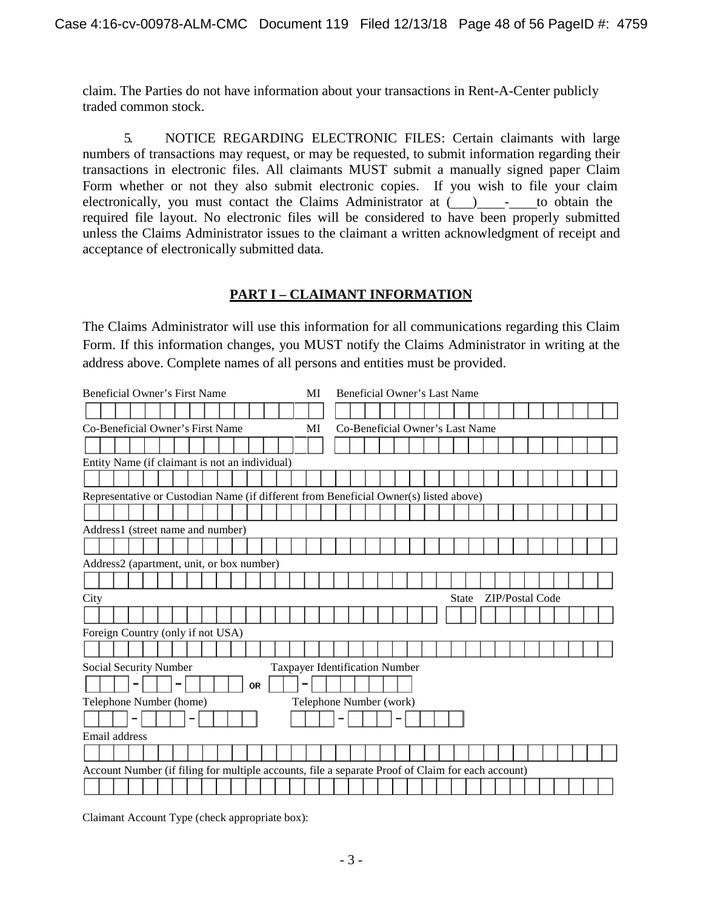claim. The Parties do not have information about your transactions in Rent-A-Center publicly traded common stock.

5. NOTICE REGARDING ELECTRONIC FILES: Certain claimants with large numbers of transactions may request, or may be requested, to submit information regarding their transactions in electronic files. All claimants MUST submit a manually signed paper Claim Form whether or not they also submit electronic copies. If you wish to file your claim electronically, you must contact the Claims Administrator at () - to obtain the required file layout. No electronic files will be considered to have been properly submitted unless the Claims Administrator issues to the claimant a written acknowledgment of receipt and acceptance of electronically submitted data.

## **PART I – CLAIMANT INFORMATION**

The Claims Administrator will use this information for all communications regarding this Claim Form. If this information changes, you MUST notify the Claims Administrator in writing at the address above. Complete names of all persons and entities must be provided.

|      | Beneficial Owner's First Name                                                                     |  |  |  |  |    |  | MI |  | Beneficial Owner's Last Name   |  |  |  |              |                                 |                 |  |  |  |  |
|------|---------------------------------------------------------------------------------------------------|--|--|--|--|----|--|----|--|--------------------------------|--|--|--|--------------|---------------------------------|-----------------|--|--|--|--|
|      |                                                                                                   |  |  |  |  |    |  |    |  |                                |  |  |  |              |                                 |                 |  |  |  |  |
|      | Co-Beneficial Owner's First Name                                                                  |  |  |  |  |    |  | МI |  |                                |  |  |  |              | Co-Beneficial Owner's Last Name |                 |  |  |  |  |
|      |                                                                                                   |  |  |  |  |    |  |    |  |                                |  |  |  |              |                                 |                 |  |  |  |  |
|      | Entity Name (if claimant is not an individual)                                                    |  |  |  |  |    |  |    |  |                                |  |  |  |              |                                 |                 |  |  |  |  |
|      |                                                                                                   |  |  |  |  |    |  |    |  |                                |  |  |  |              |                                 |                 |  |  |  |  |
|      | Representative or Custodian Name (if different from Beneficial Owner(s) listed above)             |  |  |  |  |    |  |    |  |                                |  |  |  |              |                                 |                 |  |  |  |  |
|      |                                                                                                   |  |  |  |  |    |  |    |  |                                |  |  |  |              |                                 |                 |  |  |  |  |
|      | Address1 (street name and number)                                                                 |  |  |  |  |    |  |    |  |                                |  |  |  |              |                                 |                 |  |  |  |  |
|      |                                                                                                   |  |  |  |  |    |  |    |  |                                |  |  |  |              |                                 |                 |  |  |  |  |
|      | Address2 (apartment, unit, or box number)                                                         |  |  |  |  |    |  |    |  |                                |  |  |  |              |                                 |                 |  |  |  |  |
|      |                                                                                                   |  |  |  |  |    |  |    |  |                                |  |  |  |              |                                 |                 |  |  |  |  |
| City |                                                                                                   |  |  |  |  |    |  |    |  |                                |  |  |  | <b>State</b> |                                 | ZIP/Postal Code |  |  |  |  |
|      |                                                                                                   |  |  |  |  |    |  |    |  |                                |  |  |  |              |                                 |                 |  |  |  |  |
|      | Foreign Country (only if not USA)                                                                 |  |  |  |  |    |  |    |  |                                |  |  |  |              |                                 |                 |  |  |  |  |
|      |                                                                                                   |  |  |  |  |    |  |    |  |                                |  |  |  |              |                                 |                 |  |  |  |  |
|      | Social Security Number                                                                            |  |  |  |  |    |  |    |  | Taxpayer Identification Number |  |  |  |              |                                 |                 |  |  |  |  |
|      |                                                                                                   |  |  |  |  | OR |  |    |  |                                |  |  |  |              |                                 |                 |  |  |  |  |
|      | Telephone Number (home)                                                                           |  |  |  |  |    |  |    |  | Telephone Number (work)        |  |  |  |              |                                 |                 |  |  |  |  |
|      |                                                                                                   |  |  |  |  |    |  |    |  |                                |  |  |  |              |                                 |                 |  |  |  |  |
|      | Email address                                                                                     |  |  |  |  |    |  |    |  |                                |  |  |  |              |                                 |                 |  |  |  |  |
|      |                                                                                                   |  |  |  |  |    |  |    |  |                                |  |  |  |              |                                 |                 |  |  |  |  |
|      |                                                                                                   |  |  |  |  |    |  |    |  |                                |  |  |  |              |                                 |                 |  |  |  |  |
|      | Account Number (if filing for multiple accounts, file a separate Proof of Claim for each account) |  |  |  |  |    |  |    |  |                                |  |  |  |              |                                 |                 |  |  |  |  |
|      |                                                                                                   |  |  |  |  |    |  |    |  |                                |  |  |  |              |                                 |                 |  |  |  |  |

Claimant Account Type (check appropriate box):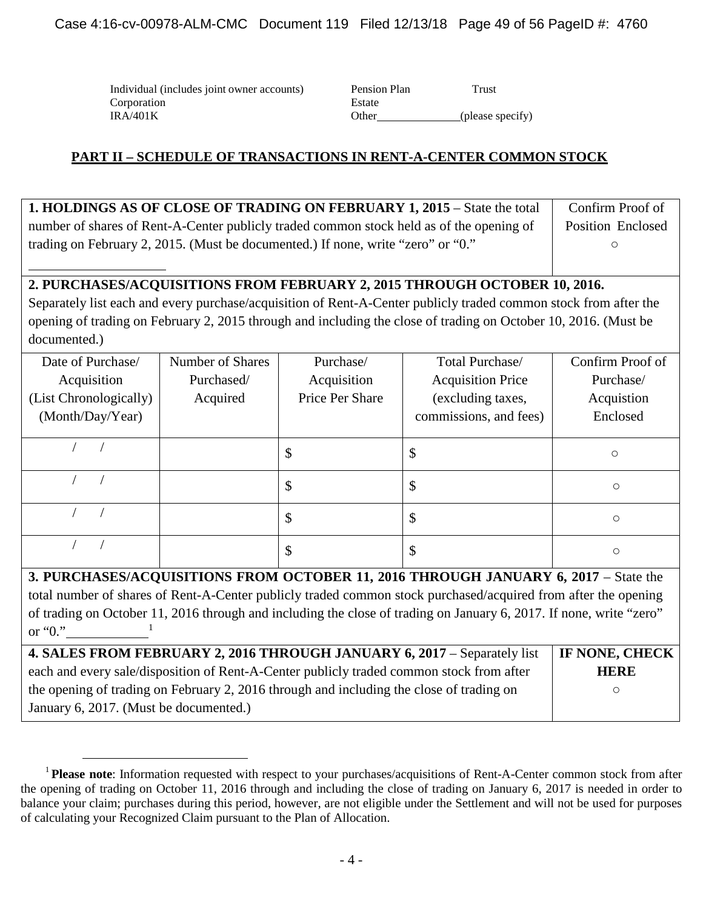Individual (includes joint owner accounts) Corporation IRA/401K Other (please specify)

| Pension Plan | Trust            |
|--------------|------------------|
| Estate       |                  |
| Other        | (please specify) |
|              |                  |

## **PART II – SCHEDULE OF TRANSACTIONS IN RENT-A-CENTER COMMON STOCK**

| 1. HOLDINGS AS OF CLOSE OF TRADING ON FEBRUARY 1, 2015 – State the total                 | Confirm Proof of         |
|------------------------------------------------------------------------------------------|--------------------------|
| number of shares of Rent-A-Center publicly traded common stock held as of the opening of | <b>Position Enclosed</b> |
| trading on February 2, 2015. (Must be documented.) If none, write "zero" or "0."         |                          |

## **2. PURCHASES/ACQUISITIONS FROM FEBRUARY 2, 2015 THROUGH OCTOBER 10, 2016.**

Separately list each and every purchase/acquisition of Rent-A-Center publicly traded common stock from after the opening of trading on February 2, 2015 through and including the close of trading on October 10, 2016. (Must be documented.)

| Date of Purchase/<br>Acquisition<br>(List Chronologically) | Number of Shares<br>Purchased/<br>Acquired | Purchase/<br>Acquisition<br>Price Per Share | Total Purchase/<br><b>Acquisition Price</b><br>(excluding taxes, | Confirm Proof of<br>Purchase/<br>Acquistion |
|------------------------------------------------------------|--------------------------------------------|---------------------------------------------|------------------------------------------------------------------|---------------------------------------------|
| (Month/Day/Year)                                           |                                            |                                             | commissions, and fees)                                           | Enclosed                                    |
|                                                            |                                            | \$                                          | \$                                                               | $\circ$                                     |
|                                                            |                                            | \$                                          | \$                                                               | $\circ$                                     |
|                                                            |                                            | \$                                          | \$                                                               | $\circ$                                     |
|                                                            |                                            | \$                                          | \$                                                               | $\circ$                                     |

**3. PURCHASES/ACQUISITIONS FROM OCTOBER 11, 2016 THROUGH JANUARY 6, 2017 – State the** total number of shares of Rent-A-Center publicly traded common stock purchased/acquired from after the opening of trading on October 11, 2016 through and including the close of trading on January 6, 2017. If none, write "zero" or " $0$ ."

| 4. SALES FROM FEBRUARY 2, 2016 THROUGH JANUARY 6, 2017 – Separately list                 | IF NONE, CHECK |
|------------------------------------------------------------------------------------------|----------------|
| each and every sale/disposition of Rent-A-Center publicly traded common stock from after | <b>HERE</b>    |
| the opening of trading on February 2, 2016 through and including the close of trading on |                |
| January 6, 2017. (Must be documented.)                                                   |                |

<sup>&</sup>lt;sup>1</sup> Please note: Information requested with respect to your purchases/acquisitions of Rent-A-Center common stock from after the opening of trading on October 11, 2016 through and including the close of trading on January 6, 2017 is needed in order to balance your claim; purchases during this period, however, are not eligible under the Settlement and will not be used for purposes of calculating your Recognized Claim pursuant to the Plan of Allocation.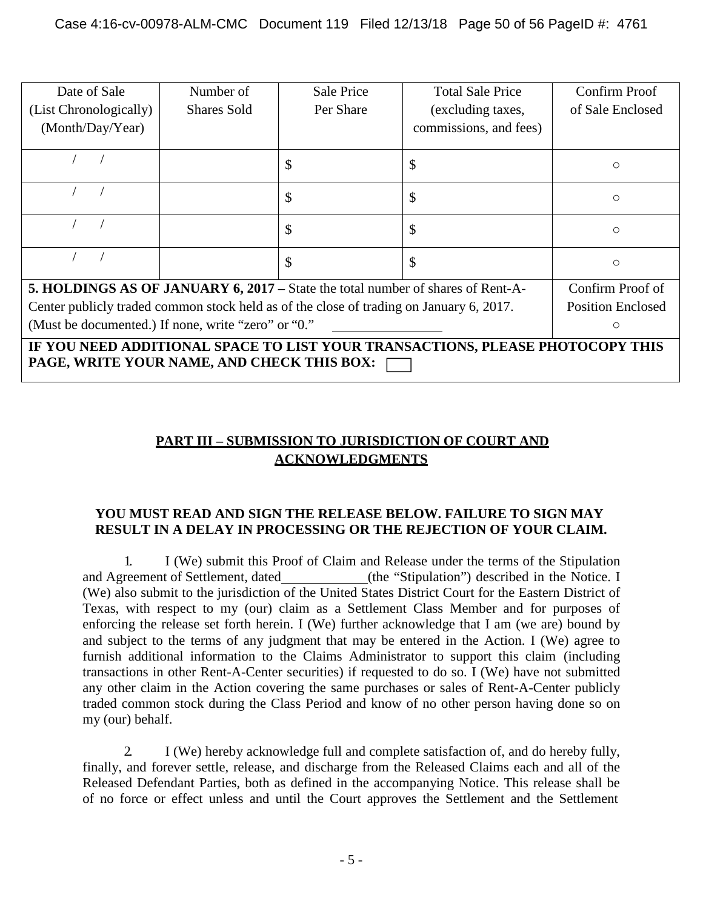| Date of Sale<br>(List Chronologically)<br>(Month/Day/Year)                              | Number of<br><b>Shares Sold</b>                                                                                             | Sale Price<br>Per Share | <b>Total Sale Price</b><br>(excluding taxes,<br>commissions, and fees) | Confirm Proof<br>of Sale Enclosed |  |  |  |  |  |  |
|-----------------------------------------------------------------------------------------|-----------------------------------------------------------------------------------------------------------------------------|-------------------------|------------------------------------------------------------------------|-----------------------------------|--|--|--|--|--|--|
|                                                                                         |                                                                                                                             | \$                      | \$                                                                     | O                                 |  |  |  |  |  |  |
|                                                                                         |                                                                                                                             | \$                      | \$                                                                     | $\circ$                           |  |  |  |  |  |  |
|                                                                                         |                                                                                                                             | \$                      | \$                                                                     | O                                 |  |  |  |  |  |  |
|                                                                                         |                                                                                                                             | \$                      | \$                                                                     | O                                 |  |  |  |  |  |  |
| 5. HOLDINGS AS OF JANUARY 6, 2017 – State the total number of shares of Rent-A-         |                                                                                                                             |                         |                                                                        | Confirm Proof of                  |  |  |  |  |  |  |
| Center publicly traded common stock held as of the close of trading on January 6, 2017. |                                                                                                                             |                         |                                                                        | <b>Position Enclosed</b>          |  |  |  |  |  |  |
| (Must be documented.) If none, write "zero" or "0."<br>O                                |                                                                                                                             |                         |                                                                        |                                   |  |  |  |  |  |  |
|                                                                                         | IF YOU NEED ADDITIONAL SPACE TO LIST YOUR TRANSACTIONS, PLEASE PHOTOCOPY THIS<br>PAGE, WRITE YOUR NAME, AND CHECK THIS BOX: |                         |                                                                        |                                   |  |  |  |  |  |  |

# **PART III – SUBMISSION TO JURISDICTION OF COURT AND ACKNOWLEDGMENTS**

## **YOU MUST READ AND SIGN THE RELEASE BELOW. FAILURE TO SIGN MAY RESULT IN A DELAY IN PROCESSING OR THE REJECTION OF YOUR CLAIM.**

1. I (We) submit this Proof of Claim and Release under the terms of the Stipulation and Agreement of Settlement, dated (the "Stipulation") described in the Notice. I (We) also submit to the jurisdiction of the United States District Court for the Eastern District of Texas, with respect to my (our) claim as a Settlement Class Member and for purposes of enforcing the release set forth herein. I (We) further acknowledge that I am (we are) bound by and subject to the terms of any judgment that may be entered in the Action. I (We) agree to furnish additional information to the Claims Administrator to support this claim (including transactions in other Rent-A-Center securities) if requested to do so. I (We) have not submitted any other claim in the Action covering the same purchases or sales of Rent-A-Center publicly traded common stock during the Class Period and know of no other person having done so on my (our) behalf.

2. I (We) hereby acknowledge full and complete satisfaction of, and do hereby fully, finally, and forever settle, release, and discharge from the Released Claims each and all of the Released Defendant Parties, both as defined in the accompanying Notice. This release shall be of no force or effect unless and until the Court approves the Settlement and the Settlement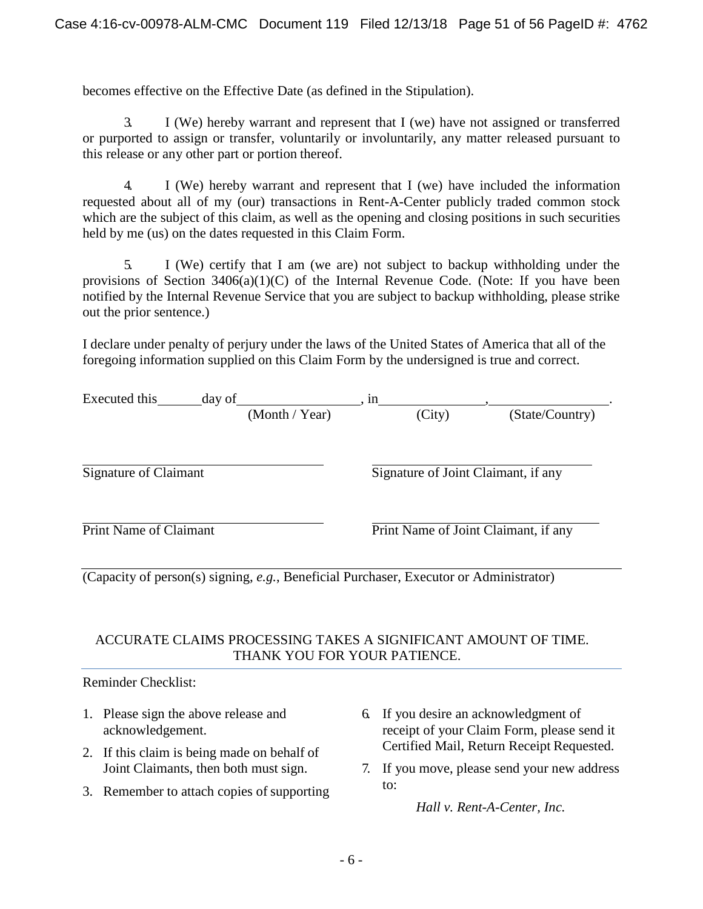becomes effective on the Effective Date (as defined in the Stipulation).

3. I (We) hereby warrant and represent that I (we) have not assigned or transferred or purported to assign or transfer, voluntarily or involuntarily, any matter released pursuant to this release or any other part or portion thereof.

4. I (We) hereby warrant and represent that I (we) have included the information requested about all of my (our) transactions in Rent-A-Center publicly traded common stock which are the subject of this claim, as well as the opening and closing positions in such securities held by me (us) on the dates requested in this Claim Form.

5. I (We) certify that I am (we are) not subject to backup withholding under the provisions of Section  $3406(a)(1)(C)$  of the Internal Revenue Code. (Note: If you have been notified by the Internal Revenue Service that you are subject to backup withholding, please strike out the prior sentence.)

I declare under penalty of perjury under the laws of the United States of America that all of the foregoing information supplied on this Claim Form by the undersigned is true and correct.

| Executed this<br>day of                                                                | in                                   |                 |  |
|----------------------------------------------------------------------------------------|--------------------------------------|-----------------|--|
| (Month / Year)                                                                         | (City)                               | (State/Country) |  |
| <b>Signature of Claimant</b>                                                           | Signature of Joint Claimant, if any  |                 |  |
| <b>Print Name of Claimant</b>                                                          | Print Name of Joint Claimant, if any |                 |  |
| (Capacity of person(s) signing, e.g., Beneficial Purchaser, Executor or Administrator) |                                      |                 |  |

## ACCURATE CLAIMS PROCESSING TAKES A SIGNIFICANT AMOUNT OF TIME. THANK YOU FOR YOUR PATIENCE.

Reminder Checklist:

- 1. Please sign the above release and acknowledgement.
- 2. If this claim is being made on behalf of Joint Claimants, then both must sign.
- 3. Remember to attach copies of supporting
- 6. If you desire an acknowledgment of receipt of your Claim Form, please send it Certified Mail, Return Receipt Requested.
- 7. If you move, please send your new address to:

*Hall v. Rent-A-Center, Inc.*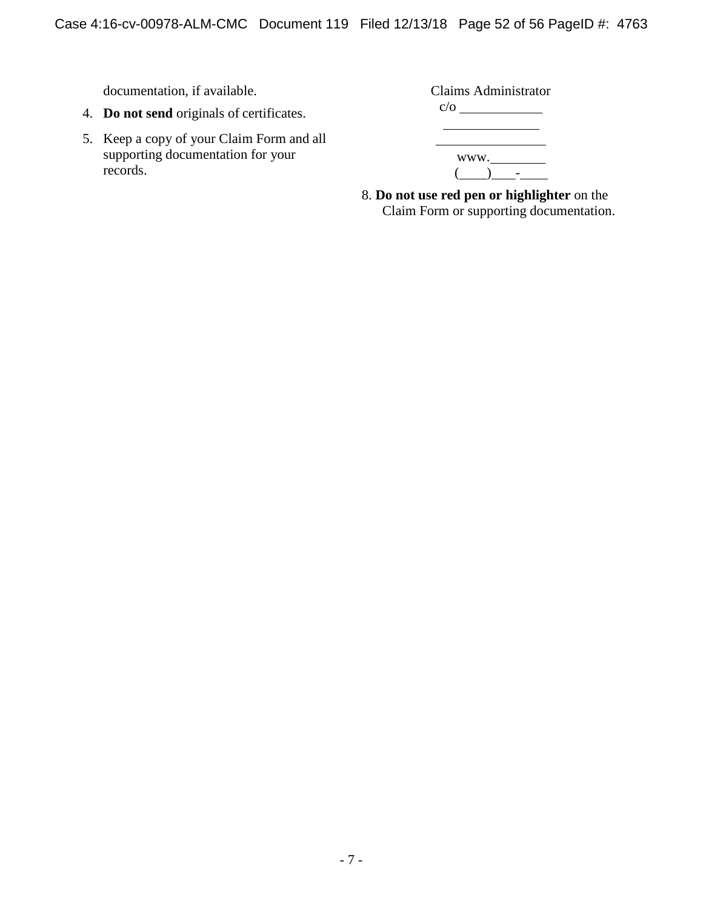documentation, if available.

- 4. **Do not send** originals of certificates.
- 5. Keep a copy of your Claim Form and all supporting documentation for your records.

| Claims Administrator |
|----------------------|
| $c/\sigma$           |
|                      |
|                      |
| www.                 |
|                      |

8. **Do not use red pen or highlighter** on the Claim Form or supporting documentation.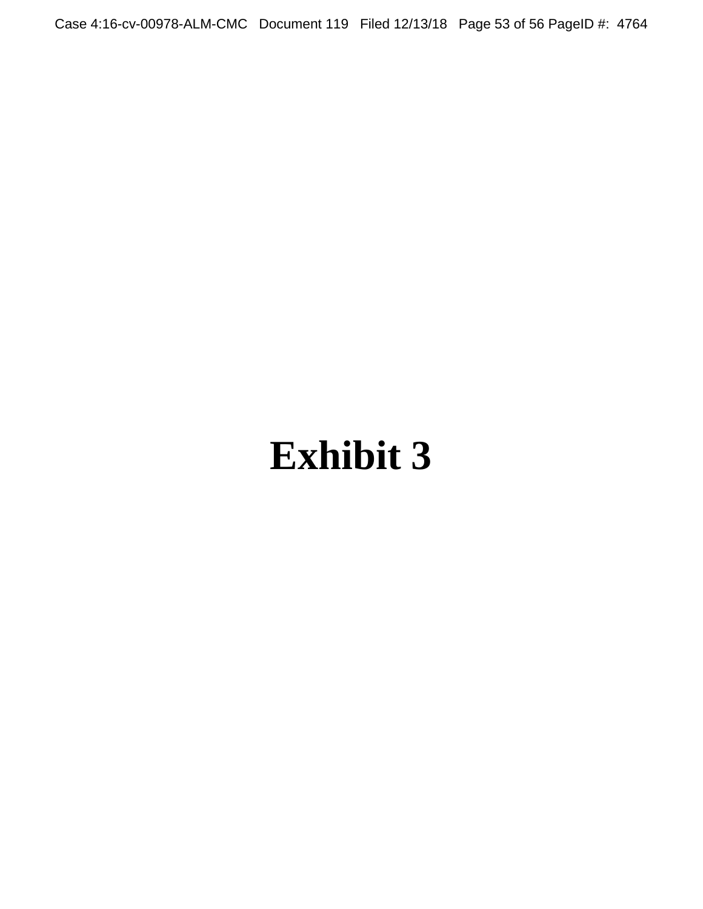Case 4:16-cv-00978-ALM-CMC Document 119 Filed 12/13/18 Page 53 of 56 PageID #: 4764

# **Exhibit 3**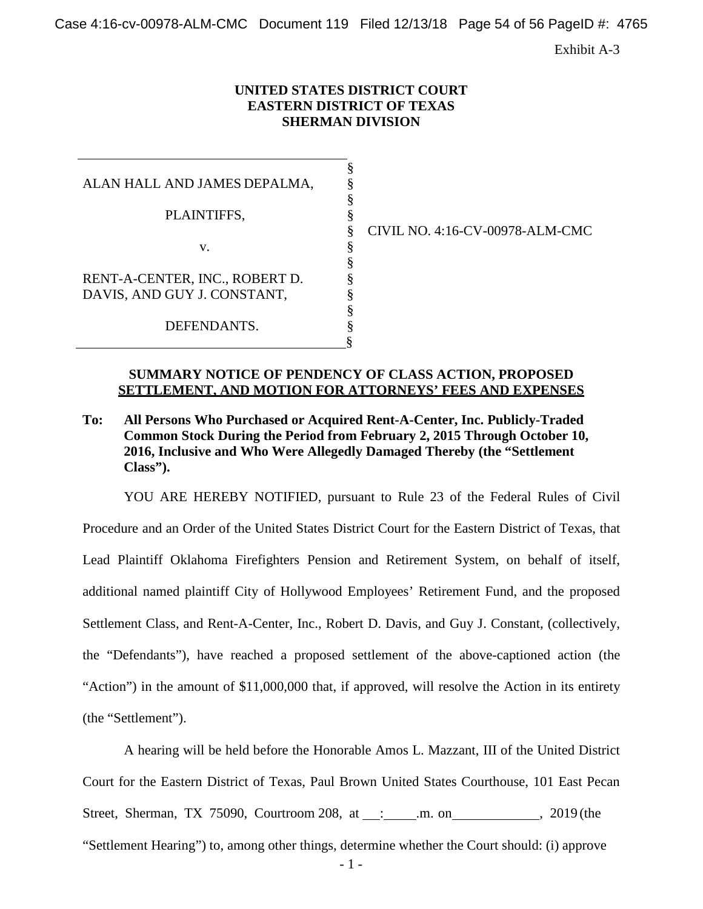Case 4:16-cv-00978-ALM-CMC Document 119 Filed 12/13/18 Page 54 of 56 PageID #: 4765

Exhibit A-3

#### **UNITED STATES DISTRICT COURT EASTERN DISTRICT OF TEXAS SHERMAN DIVISION**

§ § §

§

§ § § § § §

|                                | ş |
|--------------------------------|---|
| ALAN HALL AND JAMES DEPALMA,   | § |
|                                | § |
| PLAINTIFFS,                    | § |
|                                | § |
| V.                             | § |
|                                | § |
| RENT-A-CENTER, INC., ROBERT D. | § |
| DAVIS, AND GUY J. CONSTANT,    | § |
|                                | § |
| DEFENDANTS.                    | ş |
|                                |   |

§ CIVIL NO. 4:16-CV-00978-ALM-CMC

#### **SUMMARY NOTICE OF PENDENCY OF CLASS ACTION, PROPOSED SETTLEMENT, AND MOTION FOR ATTORNEYS' FEES AND EXPENSES**

**To: All Persons Who Purchased or Acquired Rent-A-Center, Inc. Publicly-Traded Common Stock During the Period from February 2, 2015 Through October 10, 2016, Inclusive and Who Were Allegedly Damaged Thereby (the "Settlement Class").**

YOU ARE HEREBY NOTIFIED, pursuant to Rule 23 of the Federal Rules of Civil Procedure and an Order of the United States District Court for the Eastern District of Texas, that Lead Plaintiff Oklahoma Firefighters Pension and Retirement System, on behalf of itself, additional named plaintiff City of Hollywood Employees' Retirement Fund, and the proposed Settlement Class, and Rent-A-Center, Inc., Robert D. Davis, and Guy J. Constant, (collectively, the "Defendants"), have reached a proposed settlement of the above-captioned action (the "Action") in the amount of \$11,000,000 that, if approved, will resolve the Action in its entirety (the "Settlement").

A hearing will be held before the Honorable Amos L. Mazzant, III of the United District Court for the Eastern District of Texas, Paul Brown United States Courthouse, 101 East Pecan Street, Sherman, TX 75090, Courtroom 208, at : .m. on , 2019 (the "Settlement Hearing") to, among other things, determine whether the Court should: (i) approve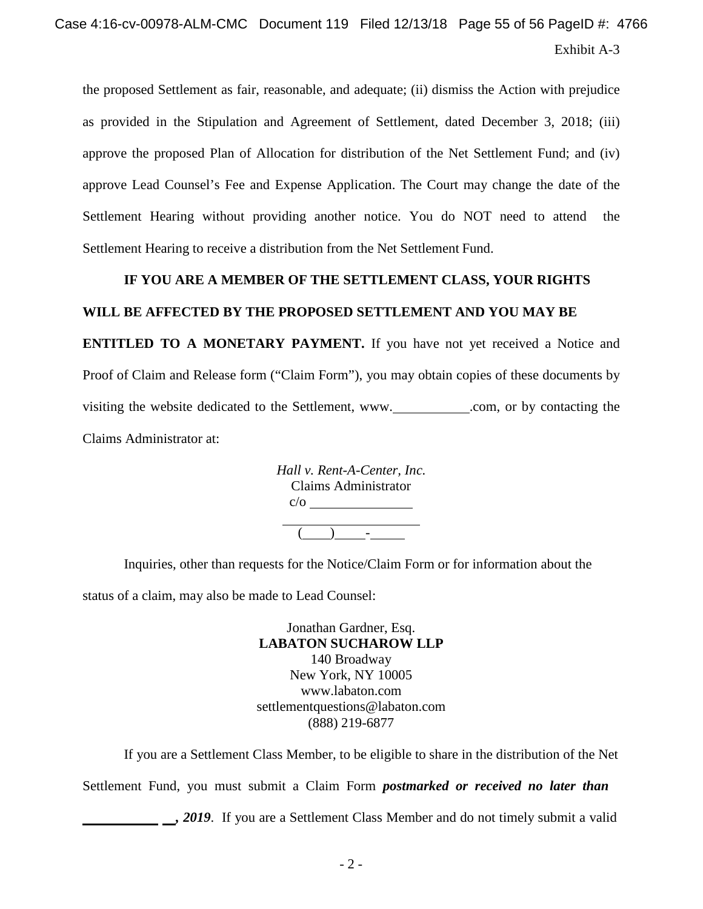# Exhibit A-3 Case 4:16-cv-00978-ALM-CMC Document 119 Filed 12/13/18 Page 55 of 56 PageID #: 4766

the proposed Settlement as fair, reasonable, and adequate; (ii) dismiss the Action with prejudice as provided in the Stipulation and Agreement of Settlement, dated December 3, 2018; (iii) approve the proposed Plan of Allocation for distribution of the Net Settlement Fund; and (iv) approve Lead Counsel's Fee and Expense Application. The Court may change the date of the Settlement Hearing without providing another notice. You do NOT need to attend the Settlement Hearing to receive a distribution from the Net Settlement Fund.

#### **IF YOU ARE A MEMBER OF THE SETTLEMENT CLASS, YOUR RIGHTS**

#### **WILL BE AFFECTED BY THE PROPOSED SETTLEMENT AND YOU MAY BE**

**ENTITLED TO A MONETARY PAYMENT.** If you have not yet received a Notice and Proof of Claim and Release form ("Claim Form"), you may obtain copies of these documents by visiting the website dedicated to the Settlement, [www.](http://www/)\_\_\_\_\_\_\_\_\_\_\_\_.com, or by contacting the Claims Administrator at:

| Hall v. Rent-A-Center, Inc. |                      |  |  |
|-----------------------------|----------------------|--|--|
|                             | Claims Administrator |  |  |
| $c/\sigma$                  |                      |  |  |
|                             |                      |  |  |
|                             |                      |  |  |

Inquiries, other than requests for the Notice/Claim Form or for information about the

status of a claim, may also be made to Lead Counsel:

Jonathan Gardner, Esq. **LABATON SUCHAROW LLP** 140 Broadway New York, NY 10005 [www.labaton.com](http://www.labaton.com/) [settlementquestions@labaton.com](mailto:settlementquestions@labaton.com) (888) 219-6877

If you are a Settlement Class Member, to be eligible to share in the distribution of the Net Settlement Fund, you must submit a Claim Form *postmarked or received no later than*

*,* **2019**. If you are a Settlement Class Member and do not timely submit a valid